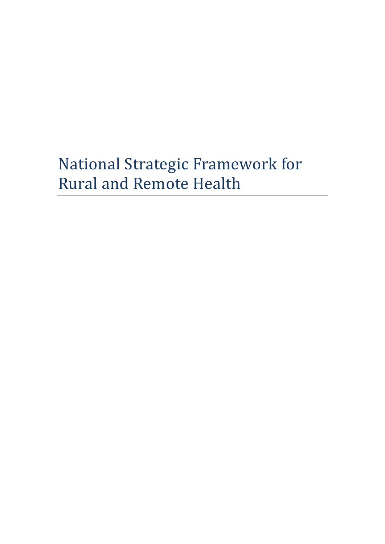# National Strategic Framework for Rural and Remote Health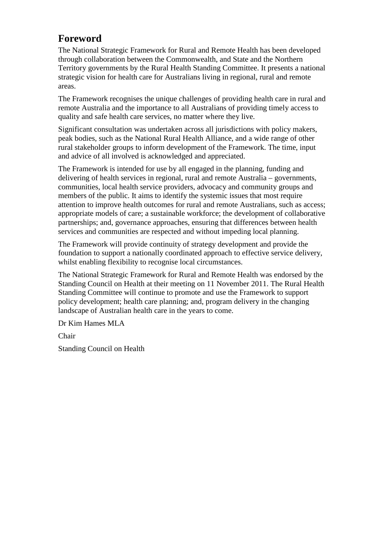# <span id="page-1-0"></span>**Foreword**

The National Strategic Framework for Rural and Remote Health has been developed through collaboration between the Commonwealth, and State and the Northern Territory governments by the Rural Health Standing Committee. It presents a national strategic vision for health care for Australians living in regional, rural and remote areas.

The Framework recognises the unique challenges of providing health care in rural and remote Australia and the importance to all Australians of providing timely access to quality and safe health care services, no matter where they live.

Significant consultation was undertaken across all jurisdictions with policy makers, peak bodies, such as the National Rural Health Alliance, and a wide range of other rural stakeholder groups to inform development of the Framework. The time, input and advice of all involved is acknowledged and appreciated.

The Framework is intended for use by all engaged in the planning, funding and delivering of health services in regional, rural and remote Australia – governments, communities, local health service providers, advocacy and community groups and members of the public. It aims to identify the systemic issues that most require attention to improve health outcomes for rural and remote Australians, such as access; appropriate models of care; a sustainable workforce; the development of collaborative partnerships; and, governance approaches, ensuring that differences between health services and communities are respected and without impeding local planning.

The Framework will provide continuity of strategy development and provide the foundation to support a nationally coordinated approach to effective service delivery, whilst enabling flexibility to recognise local circumstances.

The National Strategic Framework for Rural and Remote Health was endorsed by the Standing Council on Health at their meeting on 11 November 2011. The Rural Health Standing Committee will continue to promote and use the Framework to support policy development; health care planning; and, program delivery in the changing landscape of Australian health care in the years to come.

Dr Kim Hames MLA

Chair

Standing Council on Health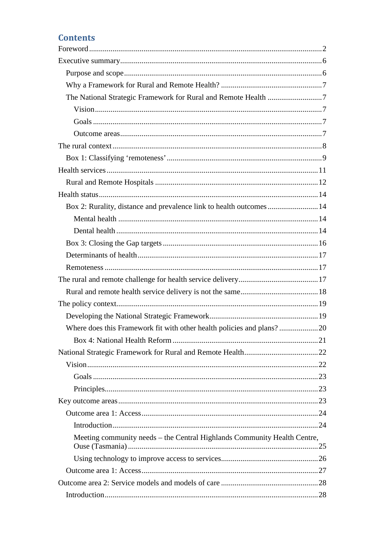# **Contents**

| Box 2: Rurality, distance and prevalence link to health outcomes14       |  |
|--------------------------------------------------------------------------|--|
|                                                                          |  |
|                                                                          |  |
|                                                                          |  |
|                                                                          |  |
|                                                                          |  |
|                                                                          |  |
|                                                                          |  |
|                                                                          |  |
|                                                                          |  |
| Where does this Framework fit with other health policies and plans?20    |  |
|                                                                          |  |
|                                                                          |  |
|                                                                          |  |
|                                                                          |  |
|                                                                          |  |
|                                                                          |  |
|                                                                          |  |
|                                                                          |  |
| Meeting community needs - the Central Highlands Community Health Centre, |  |
|                                                                          |  |
|                                                                          |  |
|                                                                          |  |
|                                                                          |  |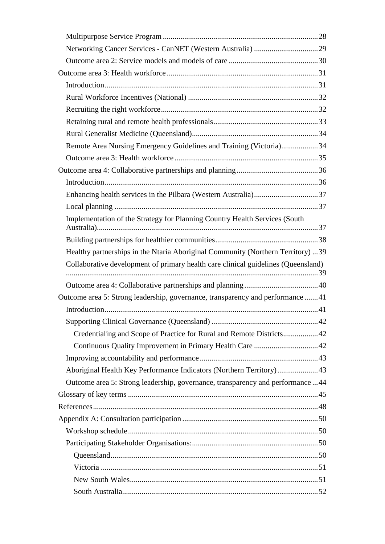| Remote Area Nursing Emergency Guidelines and Training (Victoria)34                |  |
|-----------------------------------------------------------------------------------|--|
|                                                                                   |  |
|                                                                                   |  |
|                                                                                   |  |
|                                                                                   |  |
|                                                                                   |  |
| Implementation of the Strategy for Planning Country Health Services (South        |  |
|                                                                                   |  |
| Healthy partnerships in the Ntaria Aboriginal Community (Northern Territory) 39   |  |
| Collaborative development of primary health care clinical guidelines (Queensland) |  |
|                                                                                   |  |
|                                                                                   |  |
| Outcome area 5: Strong leadership, governance, transparency and performance 41    |  |
|                                                                                   |  |
|                                                                                   |  |
| Credentialing and Scope of Practice for Rural and Remote Districts42              |  |
|                                                                                   |  |
|                                                                                   |  |
| Aboriginal Health Key Performance Indicators (Northern Territory)43               |  |
| Outcome area 5: Strong leadership, governance, transparency and performance 44    |  |
|                                                                                   |  |
|                                                                                   |  |
|                                                                                   |  |
|                                                                                   |  |
|                                                                                   |  |
|                                                                                   |  |
|                                                                                   |  |
|                                                                                   |  |
|                                                                                   |  |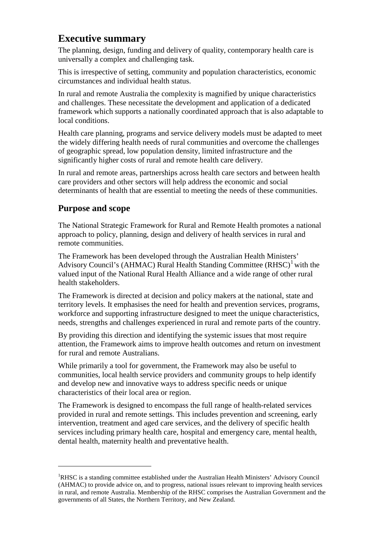# <span id="page-5-0"></span>**Executive summary**

The planning, design, funding and delivery of quality, contemporary health care is universally a complex and challenging task.

This is irrespective of setting, community and population characteristics, economic circumstances and individual health status.

In rural and remote Australia the complexity is magnified by unique characteristics and challenges. These necessitate the development and application of a dedicated framework which supports a nationally coordinated approach that is also adaptable to local conditions.

Health care planning, programs and service delivery models must be adapted to meet the widely differing health needs of rural communities and overcome the challenges of geographic spread, low population density, limited infrastructure and the significantly higher costs of rural and remote health care delivery.

In rural and remote areas, partnerships across health care sectors and between health care providers and other sectors will help address the economic and social determinants of health that are essential to meeting the needs of these communities.

### <span id="page-5-1"></span>**Purpose and scope**

-

The National Strategic Framework for Rural and Remote Health promotes a national approach to policy, planning, design and delivery of health services in rural and remote communities.

The Framework has been developed through the Australian Health Ministers' Advisory Council's (AHMAC) Rural Health Standing Committee  $(RHSC)^{1}$  $(RHSC)^{1}$  $(RHSC)^{1}$  with the valued input of the National Rural Health Alliance and a wide range of other rural health stakeholders.

The Framework is directed at decision and policy makers at the national, state and territory levels. It emphasises the need for health and prevention services, programs, workforce and supporting infrastructure designed to meet the unique characteristics, needs, strengths and challenges experienced in rural and remote parts of the country.

By providing this direction and identifying the systemic issues that most require attention, the Framework aims to improve health outcomes and return on investment for rural and remote Australians.

While primarily a tool for government, the Framework may also be useful to communities, local health service providers and community groups to help identify and develop new and innovative ways to address specific needs or unique characteristics of their local area or region.

The Framework is designed to encompass the full range of health-related services provided in rural and remote settings. This includes prevention and screening, early intervention, treatment and aged care services, and the delivery of specific health services including primary health care, hospital and emergency care, mental health, dental health, maternity health and preventative health.

<span id="page-5-2"></span><sup>&</sup>lt;sup>1</sup>RHSC is a standing committee established under the Australian Health Ministers' Advisory Council (AHMAC) to provide advice on, and to progress, national issues relevant to improving health services in rural, and remote Australia. Membership of the RHSC comprises the Australian Government and the governments of all States, the Northern Territory, and New Zealand.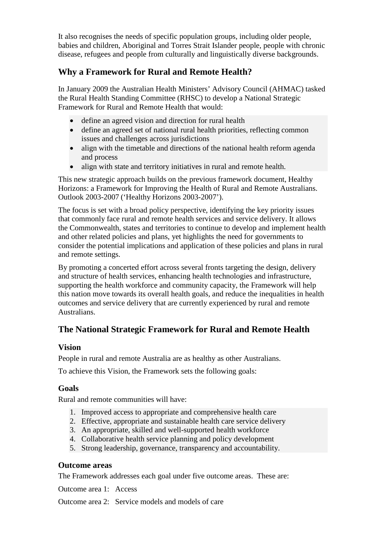It also recognises the needs of specific population groups, including older people, babies and children, Aboriginal and Torres Strait Islander people, people with chronic disease, refugees and people from culturally and linguistically diverse backgrounds.

### <span id="page-6-0"></span>**Why a Framework for Rural and Remote Health?**

In January 2009 the Australian Health Ministers' Advisory Council (AHMAC) tasked the Rural Health Standing Committee (RHSC) to develop a National Strategic Framework for Rural and Remote Health that would:

- define an agreed vision and direction for rural health
- define an agreed set of national rural health priorities, reflecting common issues and challenges across jurisdictions
- align with the timetable and directions of the national health reform agenda and process
- align with state and territory initiatives in rural and remote health.

This new strategic approach builds on the previous framework document, Healthy Horizons: a Framework for Improving the Health of Rural and Remote Australians. Outlook 2003-2007 ('Healthy Horizons 2003-2007').

The focus is set with a broad policy perspective, identifying the key priority issues that commonly face rural and remote health services and service delivery. It allows the Commonwealth, states and territories to continue to develop and implement health and other related policies and plans, yet highlights the need for governments to consider the potential implications and application of these policies and plans in rural and remote settings.

By promoting a concerted effort across several fronts targeting the design, delivery and structure of health services, enhancing health technologies and infrastructure, supporting the health workforce and community capacity, the Framework will help this nation move towards its overall health goals, and reduce the inequalities in health outcomes and service delivery that are currently experienced by rural and remote Australians.

# <span id="page-6-1"></span>**The National Strategic Framework for Rural and Remote Health**

#### <span id="page-6-2"></span>**Vision**

People in rural and remote Australia are as healthy as other Australians.

To achieve this Vision, the Framework sets the following goals:

#### <span id="page-6-3"></span>**Goals**

Rural and remote communities will have:

- 1. Improved access to appropriate and comprehensive health care
- 2. Effective, appropriate and sustainable health care service delivery
- 3. An appropriate, skilled and well-supported health workforce
- 4. Collaborative health service planning and policy development
- 5. Strong leadership, governance, transparency and accountability.

#### <span id="page-6-4"></span>**Outcome areas**

The Framework addresses each goal under five outcome areas. These are:

Outcome area 1: Access

Outcome area 2: Service models and models of care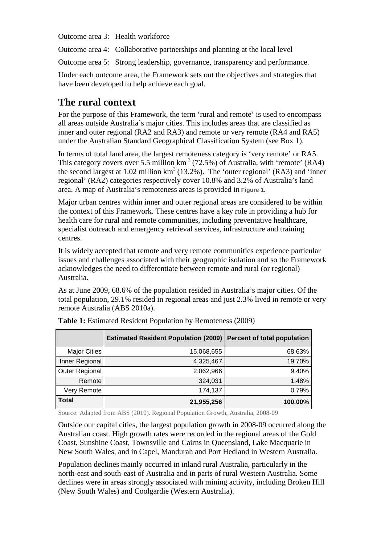Outcome area 3: Health workforce

Outcome area 4: Collaborative partnerships and planning at the local level

Outcome area 5: Strong leadership, governance, transparency and performance.

Under each outcome area, the Framework sets out the objectives and strategies that have been developed to help achieve each goal.

# <span id="page-7-0"></span>**The rural context**

For the purpose of this Framework, the term 'rural and remote' is used to encompass all areas outside Australia's major cities. This includes areas that are classified as inner and outer regional (RA2 and RA3) and remote or very remote (RA4 and RA5) under the Australian Standard Geographical Classification System (see Box 1).

In terms of total land area, the largest remoteness category is 'very remote' or RA5. This category covers over 5.5 million  $km^2$  (72.5%) of Australia, with 'remote' (RA4) the second largest at 1.02 million  $km^2$  (13.2%). The 'outer regional' (RA3) and 'inner regional' (RA2) categories respectively cover 10.8% and 3.2% of Australia's land area. A map of Australia's remoteness areas is provided in **Figure 1.**

Major urban centres within inner and outer regional areas are considered to be within the context of this Framework. These centres have a key role in providing a hub for health care for rural and remote communities, including preventative healthcare, specialist outreach and emergency retrieval services, infrastructure and training centres.

It is widely accepted that remote and very remote communities experience particular issues and challenges associated with their geographic isolation and so the Framework acknowledges the need to differentiate between remote and rural (or regional) Australia.

As at June 2009, 68.6% of the population resided in Australia's major cities. Of the total population, 29.1% resided in regional areas and just 2.3% lived in remote or very remote Australia (ABS 2010a).

|                       | <b>Estimated Resident Population (2009)</b> | <b>Percent of total population</b> |
|-----------------------|---------------------------------------------|------------------------------------|
| <b>Major Cities</b>   | 15,068,655                                  | 68.63%                             |
| Inner Regional        | 4,325,467                                   | 19.70%                             |
| <b>Outer Regional</b> | 2,062,966                                   | 9.40%                              |
| Remote                | 324,031                                     | 1.48%                              |
| Very Remote           | 174,137                                     | 0.79%                              |
| <b>Total</b>          | 21,955,256                                  | 100.00%                            |

**Table 1:** Estimated Resident Population by Remoteness (2009)

Source: Adapted from ABS (2010). Regional Population Growth, Australia, 2008-09

Outside our capital cities, the largest population growth in 2008-09 occurred along the Australian coast. High growth rates were recorded in the regional areas of the Gold Coast, Sunshine Coast, Townsville and Cairns in Queensland, Lake Macquarie in New South Wales, and in Capel, Mandurah and Port Hedland in Western Australia.

Population declines mainly occurred in inland rural Australia, particularly in the north-east and south-east of Australia and in parts of rural Western Australia. Some declines were in areas strongly associated with mining activity, including Broken Hill (New South Wales) and Coolgardie (Western Australia).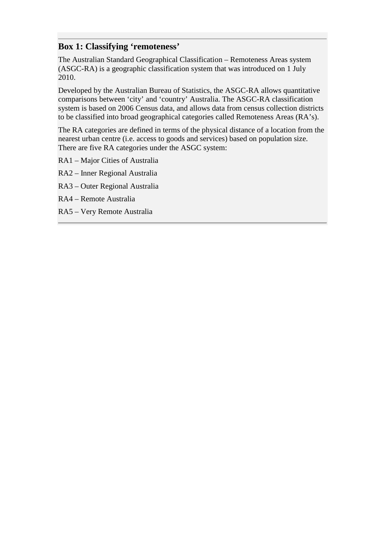#### <span id="page-8-0"></span>**Box 1: Classifying 'remoteness'**

The Australian Standard Geographical Classification – Remoteness Areas system (ASGC-RA) is a geographic classification system that was introduced on 1 July 2010.

Developed by the Australian Bureau of Statistics, the ASGC-RA allows quantitative comparisons between 'city' and 'country' Australia. The ASGC-RA classification system is based on 2006 Census data, and allows data from census collection districts to be classified into broad geographical categories called Remoteness Areas (RA's).

The RA categories are defined in terms of the physical distance of a location from the nearest urban centre (i.e. access to goods and services) based on population size. There are five RA categories under the ASGC system:

- RA1 Major Cities of Australia
- RA2 Inner Regional Australia
- RA3 Outer Regional Australia
- RA4 Remote Australia
- RA5 Very Remote Australia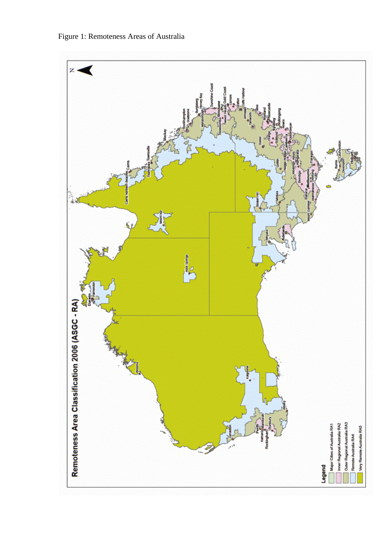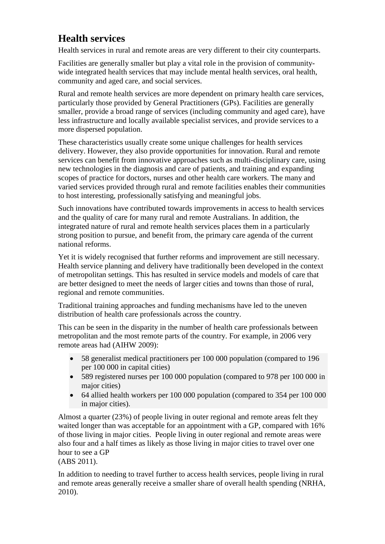# <span id="page-10-0"></span>**Health services**

Health services in rural and remote areas are very different to their city counterparts.

Facilities are generally smaller but play a vital role in the provision of communitywide integrated health services that may include mental health services, oral health, community and aged care, and social services.

Rural and remote health services are more dependent on primary health care services, particularly those provided by General Practitioners (GPs). Facilities are generally smaller, provide a broad range of services (including community and aged care), have less infrastructure and locally available specialist services, and provide services to a more dispersed population.

These characteristics usually create some unique challenges for health services delivery. However, they also provide opportunities for innovation. Rural and remote services can benefit from innovative approaches such as multi-disciplinary care, using new technologies in the diagnosis and care of patients, and training and expanding scopes of practice for doctors, nurses and other health care workers. The many and varied services provided through rural and remote facilities enables their communities to host interesting, professionally satisfying and meaningful jobs.

Such innovations have contributed towards improvements in access to health services and the quality of care for many rural and remote Australians. In addition, the integrated nature of rural and remote health services places them in a particularly strong position to pursue, and benefit from, the primary care agenda of the current national reforms.

Yet it is widely recognised that further reforms and improvement are still necessary. Health service planning and delivery have traditionally been developed in the context of metropolitan settings. This has resulted in service models and models of care that are better designed to meet the needs of larger cities and towns than those of rural, regional and remote communities.

Traditional training approaches and funding mechanisms have led to the uneven distribution of health care professionals across the country.

This can be seen in the disparity in the number of health care professionals between metropolitan and the most remote parts of the country. For example, in 2006 very remote areas had (AIHW 2009):

- 58 generalist medical practitioners per 100 000 population (compared to 196 per 100 000 in capital cities)
- 589 registered nurses per 100 000 population (compared to 978 per 100 000 in major cities)
- 64 allied health workers per 100 000 population (compared to 354 per 100 000 in major cities).

Almost a quarter (23%) of people living in outer regional and remote areas felt they waited longer than was acceptable for an appointment with a GP, compared with  $16\%$ of those living in major cities. People living in outer regional and remote areas were also four and a half times as likely as those living in major cities to travel over one hour to see a GP

(ABS 2011).

In addition to needing to travel further to access health services, people living in rural and remote areas generally receive a smaller share of overall health spending (NRHA, 2010).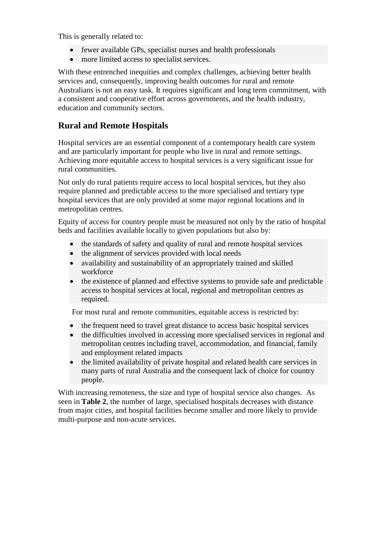This is generally related to:

- fewer available GPs, specialist nurses and health professionals
- more limited access to specialist services.

With these entrenched inequities and complex challenges, achieving better health services and, consequently, improving health outcomes for rural and remote Australians is not an easy task. It requires significant and long term commitment, with a consistent and cooperative effort across governments, and the health industry, education and community sectors.

#### <span id="page-11-0"></span>**Rural and Remote Hospitals**

Hospital services are an essential component of a contemporary health care system and are particularly important for people who live in rural and remote settings. Achieving more equitable access to hospital services is a very significant issue for rural communities.

Not only do rural patients require access to local hospital services, but they also require planned and predictable access to the more specialised and tertiary type hospital services that are only provided at some major regional locations and in metropolitan centres.

Equity of access for country people must be measured not only by the ratio of hospital beds and facilities available locally to given populations but also by:

- the standards of safety and quality of rural and remote hospital services
- the alignment of services provided with local needs
- availability and sustainability of an appropriately trained and skilled workforce
- the existence of planned and effective systems to provide safe and predictable access to hospital services at local, regional and metropolitan centres as required.

For most rural and remote communities, equitable access is restricted by:

- the frequent need to travel great distance to access basic hospital services
- the difficulties involved in accessing more specialised services in regional and metropolitan centres including travel, accommodation, and financial, family and employment related impacts
- the limited availability of private hospital and related health care services in many parts of rural Australia and the consequent lack of choice for country people.

With increasing remoteness, the size and type of hospital service also changes. As seen in **Table 2**, the number of large, specialised hospitals decreases with distance from major cities, and hospital facilities become smaller and more likely to provide multi-purpose and non-acute services.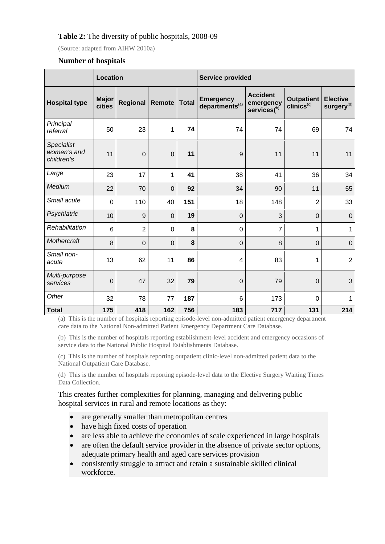#### **Table 2:** The diversity of public hospitals, 2008-09

(Source: adapted from AIHW 2010a)

#### **Number of hospitals**

|                                                | Location               |                  |                | <b>Service provided</b> |                                                |                                                    |                                             |                                           |
|------------------------------------------------|------------------------|------------------|----------------|-------------------------|------------------------------------------------|----------------------------------------------------|---------------------------------------------|-------------------------------------------|
| <b>Hospital type</b>                           | <b>Major</b><br>cities | Regional         | Remote         | <b>Total</b>            | <b>Emergency</b><br>departments <sup>(a)</sup> | <b>Accident</b><br>emergency<br>$s$ ervices $($ b) | <b>Outpatient</b><br>clinics <sup>(c)</sup> | <b>Elective</b><br>surgery <sup>(d)</sup> |
| Principal<br>referral                          | 50                     | 23               | 1              | 74                      | 74                                             | 74                                                 | 69                                          | 74                                        |
| <b>Specialist</b><br>women's and<br>children's | 11                     | $\boldsymbol{0}$ | $\mathbf 0$    | 11                      | 9                                              | 11                                                 | 11                                          | 11                                        |
| Large                                          | 23                     | 17               | 1              | 41                      | 38                                             | 41                                                 | 36                                          | 34                                        |
| Medium                                         | 22                     | 70               | $\mathbf 0$    | 92                      | 34                                             | 90                                                 | 11                                          | 55                                        |
| Small acute                                    | $\mathbf 0$            | 110              | 40             | 151                     | 18                                             | 148                                                | $\overline{2}$                              | 33                                        |
| Psychiatric                                    | 10                     | 9                | $\mathbf 0$    | 19                      | $\mathbf 0$                                    | 3                                                  | $\mathbf 0$                                 | $\boldsymbol{0}$                          |
| Rehabilitation                                 | 6                      | $\overline{2}$   | $\mathbf 0$    | 8                       | $\mathbf 0$                                    | $\overline{7}$                                     | 1                                           | $\mathbf{1}$                              |
| Mothercraft                                    | 8                      | $\overline{0}$   | $\overline{0}$ | 8                       | $\mathbf 0$                                    | 8                                                  | $\overline{0}$                              | $\mathbf 0$                               |
| Small non-<br>acute                            | 13                     | 62               | 11             | 86                      | 4                                              | 83                                                 | 1                                           | $\overline{2}$                            |
| Multi-purpose<br>services                      | $\mathbf 0$            | 47               | 32             | 79                      | $\mathbf 0$                                    | 79                                                 | $\overline{0}$                              | 3                                         |
| Other                                          | 32                     | 78               | 77             | 187                     | 6                                              | 173                                                | 0                                           | $\mathbf 1$                               |
| <b>Total</b>                                   | 175                    | 418              | 162            | 756                     | 183                                            | 717                                                | 131                                         | 214                                       |

(a) This is the number of hospitals reporting episode-level non-admitted patient emergency department care data to the National Non-admitted Patient Emergency Department Care Database.

(b) This is the number of hospitals reporting establishment-level accident and emergency occasions of service data to the National Public Hospital Establishments Database.

(c) This is the number of hospitals reporting outpatient clinic-level non-admitted patient data to the National Outpatient Care Database.

(d) This is the number of hospitals reporting episode-level data to the Elective Surgery Waiting Times Data Collection.

This creates further complexities for planning, managing and delivering public hospital services in rural and remote locations as they:

- are generally smaller than metropolitan centres
- have high fixed costs of operation
- are less able to achieve the economies of scale experienced in large hospitals
- are often the default service provider in the absence of private sector options, adequate primary health and aged care services provision
- consistently struggle to attract and retain a sustainable skilled clinical workforce.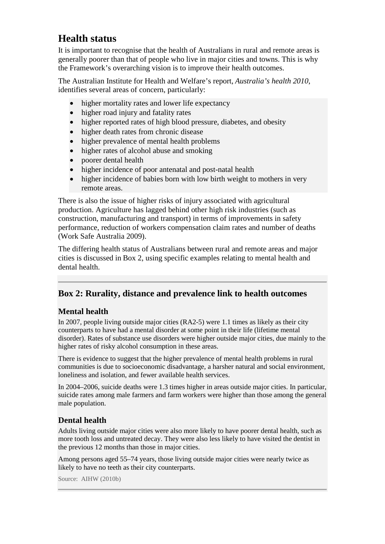# <span id="page-13-0"></span>**Health status**

It is important to recognise that the health of Australians in rural and remote areas is generally poorer than that of people who live in major cities and towns. This is why the Framework's overarching vision is to improve their health outcomes.

The Australian Institute for Health and Welfare's report, *Australia's health 2010*, identifies several areas of concern, particularly:

- higher mortality rates and lower life expectancy
- higher road injury and fatality rates
- higher reported rates of high blood pressure, diabetes, and obesity
- higher death rates from chronic disease
- higher prevalence of mental health problems
- higher rates of alcohol abuse and smoking
- poorer dental health
- higher incidence of poor antenatal and post-natal health
- higher incidence of babies born with low birth weight to mothers in very remote areas.

There is also the issue of higher risks of injury associated with agricultural production. Agriculture has lagged behind other high risk industries (such as construction, manufacturing and transport) in terms of improvements in safety performance, reduction of workers compensation claim rates and number of deaths (Work Safe Australia 2009).

The differing health status of Australians between rural and remote areas and major cities is discussed in Box 2, using specific examples relating to mental health and dental health.

#### <span id="page-13-1"></span>**Box 2: Rurality, distance and prevalence link to health outcomes**

#### <span id="page-13-2"></span>**Mental health**

In 2007, people living outside major cities (RA2-5) were 1.1 times as likely as their city counterparts to have had a mental disorder at some point in their life (lifetime mental disorder). Rates of substance use disorders were higher outside major cities, due mainly to the higher rates of risky alcohol consumption in these areas.

There is evidence to suggest that the higher prevalence of mental health problems in rural communities is due to socioeconomic disadvantage, a harsher natural and social environment, loneliness and isolation, and fewer available health services.

In 2004–2006, suicide deaths were 1.3 times higher in areas outside major cities. In particular, suicide rates among male farmers and farm workers were higher than those among the general male population.

#### <span id="page-13-3"></span>**Dental health**

Adults living outside major cities were also more likely to have poorer dental health, such as more tooth loss and untreated decay. They were also less likely to have visited the dentist in the previous 12 months than those in major cities.

Among persons aged 55–74 years, those living outside major cities were nearly twice as likely to have no teeth as their city counterparts.

Source: AIHW (2010b)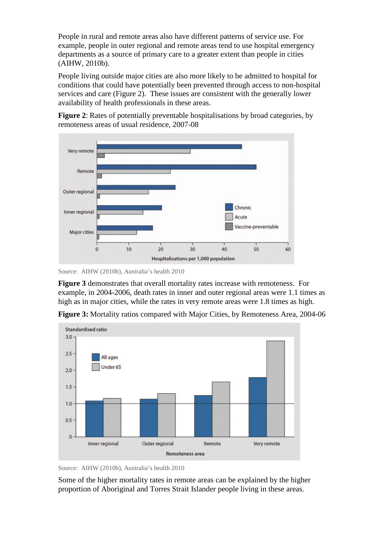People in rural and remote areas also have different patterns of service use. For example, people in outer regional and remote areas tend to use hospital emergency departments as a source of primary care to a greater extent than people in cities (AIHW, 2010b).

People living outside major cities are also more likely to be admitted to hospital for conditions that could have potentially been prevented through access to non-hospital services and care (Figure 2). These issues are consistent with the generally lower availability of health professionals in these areas.

**Figure 2**: Rates of potentially preventable hospitalisations by broad categories, by remoteness areas of usual residence, 2007-08



Source: AIHW (2010b), Australia's health 2010

**Figure 3** demonstrates that overall mortality rates increase with remoteness. For example, in 2004-2006, death rates in inner and outer regional areas were 1.1 times as high as in major cities, while the rates in very remote areas were 1.8 times as high.

**Figure 3:** Mortality ratios compared with Major Cities, by Remoteness Area, 2004-06



Source: AIHW (2010b), Australia's health 2010

Some of the higher mortality rates in remote areas can be explained by the higher proportion of Aboriginal and Torres Strait Islander people living in these areas.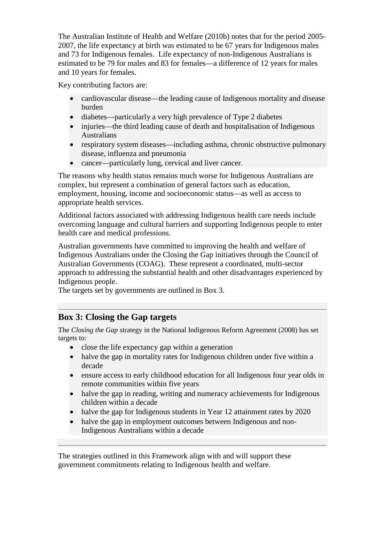The Australian Institute of Health and Welfare (2010b) notes that for the period 2005- 2007, the life expectancy at birth was estimated to be 67 years for Indigenous males and 73 for Indigenous females. Life expectancy of non-Indigenous Australians is estimated to be 79 for males and 83 for females—a difference of 12 years for males and 10 years for females.

Key contributing factors are:

- cardiovascular disease—the leading cause of Indigenous mortality and disease burden
- diabetes—particularly a very high prevalence of Type 2 diabetes
- injuries—the third leading cause of death and hospitalisation of Indigenous Australians
- respiratory system diseases—including asthma, chronic obstructive pulmonary disease, influenza and pneumonia
- cancer—particularly lung, cervical and liver cancer.

The reasons why health status remains much worse for Indigenous Australians are complex, but represent a combination of general factors such as education, employment, housing, income and socioeconomic status—as well as access to appropriate health services.

Additional factors associated with addressing Indigenous health care needs include overcoming language and cultural barriers and supporting Indigenous people to enter health care and medical professions.

Australian governments have committed to improving the health and welfare of Indigenous Australians under the Closing the Gap initiatives through the Council of Australian Governments (COAG). These represent a coordinated, multi-sector approach to addressing the substantial health and other disadvantages experienced by Indigenous people.

The targets set by governments are outlined in Box 3.

### <span id="page-15-0"></span>**Box 3: Closing the Gap targets**

The *Closing the Gap* strategy in the National Indigenous Reform Agreement (2008) has set targets to:

- close the life expectancy gap within a generation
- halve the gap in mortality rates for Indigenous children under five within a decade
- ensure access to early childhood education for all Indigenous four year olds in remote communities within five years
- halve the gap in reading, writing and numeracy achievements for Indigenous children within a decade
- halve the gap for Indigenous students in Year 12 attainment rates by 2020
- halve the gap in employment outcomes between Indigenous and non-Indigenous Australians within a decade

The strategies outlined in this Framework align with and will support these government commitments relating to Indigenous health and welfare.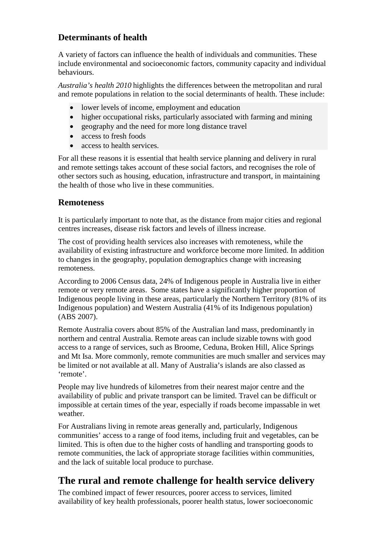# <span id="page-16-0"></span>**Determinants of health**

A variety of factors can influence the health of individuals and communities. These include environmental and socioeconomic factors, community capacity and individual behaviours.

*Australia's health 2010* highlights the differences between the metropolitan and rural and remote populations in relation to the social determinants of health. These include:

- lower levels of income, employment and education
- higher occupational risks, particularly associated with farming and mining
- geography and the need for more long distance travel
- access to fresh foods
- access to health services.

For all these reasons it is essential that health service planning and delivery in rural and remote settings takes account of these social factors, and recognises the role of other sectors such as housing, education, infrastructure and transport, in maintaining the health of those who live in these communities.

#### <span id="page-16-1"></span>**Remoteness**

It is particularly important to note that, as the distance from major cities and regional centres increases, disease risk factors and levels of illness increase.

The cost of providing health services also increases with remoteness, while the availability of existing infrastructure and workforce become more limited. In addition to changes in the geography, population demographics change with increasing remoteness.

According to 2006 Census data, 24% of Indigenous people in Australia live in either remote or very remote areas. Some states have a significantly higher proportion of Indigenous people living in these areas, particularly the Northern Territory (81% of its Indigenous population) and Western Australia (41% of its Indigenous population) (ABS 2007).

Remote Australia covers about 85% of the Australian land mass, predominantly in northern and central Australia. Remote areas can include sizable towns with good access to a range of services, such as Broome, Ceduna, Broken Hill, Alice Springs and Mt Isa. More commonly, remote communities are much smaller and services may be limited or not available at all. Many of Australia's islands are also classed as 'remote'.

People may live hundreds of kilometres from their nearest major centre and the availability of public and private transport can be limited. Travel can be difficult or impossible at certain times of the year, especially if roads become impassable in wet weather.

For Australians living in remote areas generally and, particularly, Indigenous communities' access to a range of food items, including fruit and vegetables, can be limited. This is often due to the higher costs of handling and transporting goods to remote communities, the lack of appropriate storage facilities within communities, and the lack of suitable local produce to purchase.

# <span id="page-16-2"></span>**The rural and remote challenge for health service delivery**

The combined impact of fewer resources, poorer access to services, limited availability of key health professionals, poorer health status, lower socioeconomic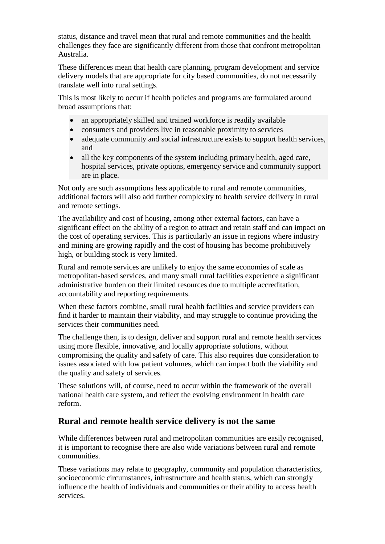status, distance and travel mean that rural and remote communities and the health challenges they face are significantly different from those that confront metropolitan Australia.

These differences mean that health care planning, program development and service delivery models that are appropriate for city based communities, do not necessarily translate well into rural settings.

This is most likely to occur if health policies and programs are formulated around broad assumptions that:

- an appropriately skilled and trained workforce is readily available
- consumers and providers live in reasonable proximity to services
- adequate community and social infrastructure exists to support health services, and
- all the key components of the system including primary health, aged care, hospital services, private options, emergency service and community support are in place.

Not only are such assumptions less applicable to rural and remote communities, additional factors will also add further complexity to health service delivery in rural and remote settings.

The availability and cost of housing, among other external factors, can have a significant effect on the ability of a region to attract and retain staff and can impact on the cost of operating services. This is particularly an issue in regions where industry and mining are growing rapidly and the cost of housing has become prohibitively high, or building stock is very limited.

Rural and remote services are unlikely to enjoy the same economies of scale as metropolitan-based services, and many small rural facilities experience a significant administrative burden on their limited resources due to multiple accreditation, accountability and reporting requirements.

When these factors combine, small rural health facilities and service providers can find it harder to maintain their viability, and may struggle to continue providing the services their communities need.

The challenge then, is to design, deliver and support rural and remote health services using more flexible, innovative, and locally appropriate solutions, without compromising the quality and safety of care. This also requires due consideration to issues associated with low patient volumes, which can impact both the viability and the quality and safety of services.

These solutions will, of course, need to occur within the framework of the overall national health care system, and reflect the evolving environment in health care reform.

#### <span id="page-17-0"></span>**Rural and remote health service delivery is not the same**

While differences between rural and metropolitan communities are easily recognised, it is important to recognise there are also wide variations between rural and remote communities.

These variations may relate to geography, community and population characteristics, socioeconomic circumstances, infrastructure and health status, which can strongly influence the health of individuals and communities or their ability to access health services.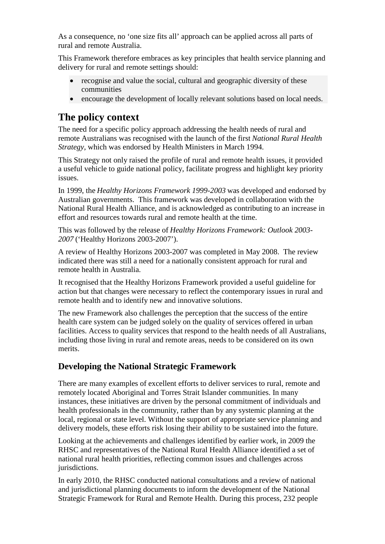As a consequence, no 'one size fits all' approach can be applied across all parts of rural and remote Australia.

This Framework therefore embraces as key principles that health service planning and delivery for rural and remote settings should:

- recognise and value the social, cultural and geographic diversity of these communities
- encourage the development of locally relevant solutions based on local needs.

# <span id="page-18-0"></span>**The policy context**

The need for a specific policy approach addressing the health needs of rural and remote Australians was recognised with the launch of the first *National Rural Health Strategy*, which was endorsed by Health Ministers in March 1994.

This Strategy not only raised the profile of rural and remote health issues, it provided a useful vehicle to guide national policy, facilitate progress and highlight key priority issues.

In 1999, the *Healthy Horizons Framework 1999-2003* was developed and endorsed by Australian governments. This framework was developed in collaboration with the National Rural Health Alliance, and is acknowledged as contributing to an increase in effort and resources towards rural and remote health at the time.

This was followed by the release of *Healthy Horizons Framework: Outlook 2003- 2007* ('Healthy Horizons 2003-2007').

A review of Healthy Horizons 2003-2007 was completed in May 2008. The review indicated there was still a need for a nationally consistent approach for rural and remote health in Australia.

It recognised that the Healthy Horizons Framework provided a useful guideline for action but that changes were necessary to reflect the contemporary issues in rural and remote health and to identify new and innovative solutions.

The new Framework also challenges the perception that the success of the entire health care system can be judged solely on the quality of services offered in urban facilities. Access to quality services that respond to the health needs of all Australians, including those living in rural and remote areas, needs to be considered on its own merits.

# <span id="page-18-1"></span>**Developing the National Strategic Framework**

There are many examples of excellent efforts to deliver services to rural, remote and remotely located Aboriginal and Torres Strait Islander communities. In many instances, these initiatives are driven by the personal commitment of individuals and health professionals in the community, rather than by any systemic planning at the local, regional or state level. Without the support of appropriate service planning and delivery models, these efforts risk losing their ability to be sustained into the future.

Looking at the achievements and challenges identified by earlier work, in 2009 the RHSC and representatives of the National Rural Health Alliance identified a set of national rural health priorities, reflecting common issues and challenges across jurisdictions.

In early 2010, the RHSC conducted national consultations and a review of national and jurisdictional planning documents to inform the development of the National Strategic Framework for Rural and Remote Health. During this process, 232 people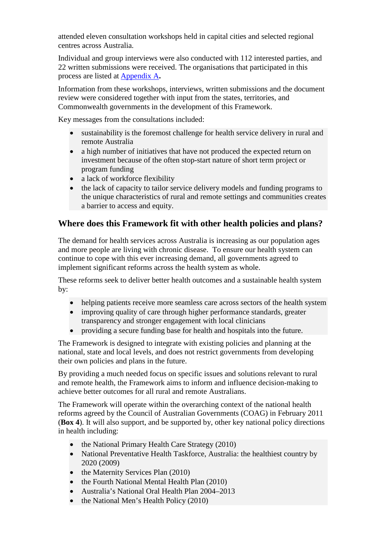attended eleven consultation workshops held in capital cities and selected regional centres across Australia.

Individual and group interviews were also conducted with 112 interested parties, and 22 written submissions were received. The organisations that participated in this process are listed at [Appendix A](#page-49-0)**.**

Information from these workshops, interviews, written submissions and the document review were considered together with input from the states, territories, and Commonwealth governments in the development of this Framework.

Key messages from the consultations included:

- sustainability is the foremost challenge for health service delivery in rural and remote Australia
- a high number of initiatives that have not produced the expected return on investment because of the often stop-start nature of short term project or program funding
- a lack of workforce flexibility
- the lack of capacity to tailor service delivery models and funding programs to the unique characteristics of rural and remote settings and communities creates a barrier to access and equity.

#### <span id="page-19-0"></span>**Where does this Framework fit with other health policies and plans?**

The demand for health services across Australia is increasing as our population ages and more people are living with chronic disease. To ensure our health system can continue to cope with this ever increasing demand, all governments agreed to implement significant reforms across the health system as whole.

These reforms seek to deliver better health outcomes and a sustainable health system by:

- helping patients receive more seamless care across sectors of the health system
- improving quality of care through higher performance standards, greater transparency and stronger engagement with local clinicians
- providing a secure funding base for health and hospitals into the future.

The Framework is designed to integrate with existing policies and planning at the national, state and local levels, and does not restrict governments from developing their own policies and plans in the future.

By providing a much needed focus on specific issues and solutions relevant to rural and remote health, the Framework aims to inform and influence decision-making to achieve better outcomes for all rural and remote Australians.

The Framework will operate within the overarching context of the national health reforms agreed by the Council of Australian Governments (COAG) in February 2011 (**Box 4**). It will also support, and be supported by, other key national policy directions in health including:

- the National Primary Health Care Strategy (2010)
- National Preventative Health Taskforce, Australia: the healthiest country by 2020 (2009)
- the Maternity Services Plan (2010)
- the Fourth National Mental Health Plan (2010)
- Australia's National Oral Health Plan 2004–2013
- the National Men's Health Policy (2010)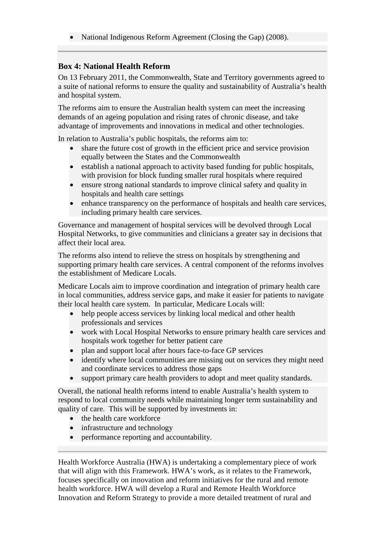• National Indigenous Reform Agreement (Closing the Gap) (2008).

#### <span id="page-20-0"></span>**Box 4: National Health Reform**

On 13 February 2011, the Commonwealth, State and Territory governments agreed to a suite of national reforms to ensure the quality and sustainability of Australia's health and hospital system.

The reforms aim to ensure the Australian health system can meet the increasing demands of an ageing population and rising rates of chronic disease, and take advantage of improvements and innovations in medical and other technologies.

In relation to Australia's public hospitals, the reforms aim to:

- share the future cost of growth in the efficient price and service provision equally between the States and the Commonwealth
- establish a national approach to activity based funding for public hospitals, with provision for block funding smaller rural hospitals where required
- ensure strong national standards to improve clinical safety and quality in hospitals and health care settings
- enhance transparency on the performance of hospitals and health care services, including primary health care services.

Governance and management of hospital services will be devolved through Local Hospital Networks, to give communities and clinicians a greater say in decisions that affect their local area.

The reforms also intend to relieve the stress on hospitals by strengthening and supporting primary health care services. A central component of the reforms involves the establishment of Medicare Locals.

Medicare Locals aim to improve coordination and integration of primary health care in local communities, address service gaps, and make it easier for patients to navigate their local health care system. In particular, Medicare Locals will:

- help people access services by linking local medical and other health professionals and services
- work with Local Hospital Networks to ensure primary health care services and hospitals work together for better patient care
- plan and support local after hours face-to-face GP services
- identify where local communities are missing out on services they might need and coordinate services to address those gaps
- support primary care health providers to adopt and meet quality standards.

Overall, the national health reforms intend to enable Australia's health system to respond to local community needs while maintaining longer term sustainability and quality of care. This will be supported by investments in:

- the health care workforce
- infrastructure and technology
- performance reporting and accountability.

Health Workforce Australia (HWA) is undertaking a complementary piece of work that will align with this Framework. HWA's work, as it relates to the Framework, focuses specifically on innovation and reform initiatives for the rural and remote health workforce. HWA will develop a Rural and Remote Health Workforce Innovation and Reform Strategy to provide a more detailed treatment of rural and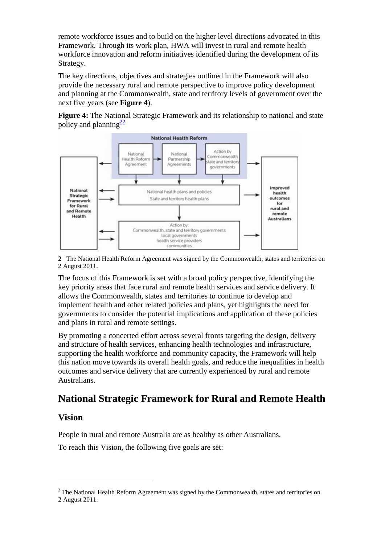remote workforce issues and to build on the higher level directions advocated in this Framework. Through its work plan, HWA will invest in rural and remote health workforce innovation and reform initiatives identified during the development of its Strategy.

The key directions, objectives and strategies outlined in the Framework will also provide the necessary rural and remote perspective to improve policy development and planning at the Commonwealth, state and territory levels of government over the next five years (see **Figure 4**).

**Figure 4:** The National Strategic Framework and its relationship to national and state policy and planning<sup>[2](#page-21-3)2</sup>



<span id="page-21-2"></span>2 The National Health Reform Agreement was signed by the Commonwealth, states and territories on 2 August 2011.

The focus of this Framework is set with a broad policy perspective, identifying the key priority areas that face rural and remote health services and service delivery. It allows the Commonwealth, states and territories to continue to develop and implement health and other related policies and plans, yet highlights the need for governments to consider the potential implications and application of these policies and plans in rural and remote settings.

By promoting a concerted effort across several fronts targeting the design, delivery and structure of health services, enhancing health technologies and infrastructure, supporting the health workforce and community capacity, the Framework will help this nation move towards its overall health goals, and reduce the inequalities in health outcomes and service delivery that are currently experienced by rural and remote Australians.

# <span id="page-21-0"></span>**National Strategic Framework for Rural and Remote Health**

#### <span id="page-21-1"></span>**Vision**

<u>.</u>

People in rural and remote Australia are as healthy as other Australians.

To reach this Vision, the following five goals are set:

<span id="page-21-3"></span> $<sup>2</sup>$  The National Health Reform Agreement was signed by the Commonwealth, states and territories on</sup> 2 August 2011.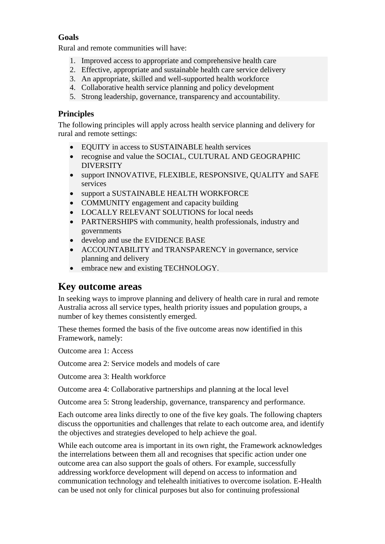#### <span id="page-22-0"></span>**Goals**

Rural and remote communities will have:

- 1. Improved access to appropriate and comprehensive health care
- 2. Effective, appropriate and sustainable health care service delivery
- 3. An appropriate, skilled and well-supported health workforce
- 4. Collaborative health service planning and policy development
- 5. Strong leadership, governance, transparency and accountability.

#### <span id="page-22-1"></span>**Principles**

The following principles will apply across health service planning and delivery for rural and remote settings:

- EQUITY in access to SUSTAINABLE health services
- recognise and value the SOCIAL, CULTURAL AND GEOGRAPHIC DIVERSITY
- support INNOVATIVE, FLEXIBLE, RESPONSIVE, QUALITY and SAFE services
- support a SUSTAINABLE HEALTH WORKFORCE
- COMMUNITY engagement and capacity building
- LOCALLY RELEVANT SOLUTIONS for local needs
- PARTNERSHIPS with community, health professionals, industry and governments
- develop and use the EVIDENCE BASE
- ACCOUNTABILITY and TRANSPARENCY in governance, service planning and delivery
- embrace new and existing TECHNOLOGY.

# <span id="page-22-2"></span>**Key outcome areas**

In seeking ways to improve planning and delivery of health care in rural and remote Australia across all service types, health priority issues and population groups, a number of key themes consistently emerged.

These themes formed the basis of the five outcome areas now identified in this Framework, namely:

Outcome area 1: Access

Outcome area 2: Service models and models of care

Outcome area 3: Health workforce

Outcome area 4: Collaborative partnerships and planning at the local level

Outcome area 5: Strong leadership, governance, transparency and performance.

Each outcome area links directly to one of the five key goals. The following chapters discuss the opportunities and challenges that relate to each outcome area, and identify the objectives and strategies developed to help achieve the goal.

While each outcome area is important in its own right, the Framework acknowledges the interrelations between them all and recognises that specific action under one outcome area can also support the goals of others. For example, successfully addressing workforce development will depend on access to information and communication technology and telehealth initiatives to overcome isolation. E-Health can be used not only for clinical purposes but also for continuing professional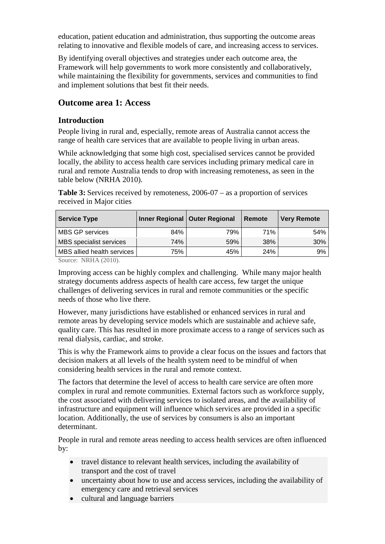education, patient education and administration, thus supporting the outcome areas relating to innovative and flexible models of care, and increasing access to services.

By identifying overall objectives and strategies under each outcome area, the Framework will help governments to work more consistently and collaboratively, while maintaining the flexibility for governments, services and communities to find and implement solutions that best fit their needs.

#### <span id="page-23-0"></span>**Outcome area 1: Access**

#### <span id="page-23-1"></span>**Introduction**

People living in rural and, especially, remote areas of Australia cannot access the range of health care services that are available to people living in urban areas.

While acknowledging that some high cost, specialised services cannot be provided locally, the ability to access health care services including primary medical care in rural and remote Australia tends to drop with increasing remoteness, as seen in the table below (NRHA 2010).

**Table 3:** Services received by remoteness, 2006-07 – as a proportion of services received in Major cities

| <b>Service Type</b>        |     | Inner Regional   Outer Regional | Remote | <b>Very Remote</b> |
|----------------------------|-----|---------------------------------|--------|--------------------|
| MBS GP services            | 84% | 79%                             | 71%    | 54%                |
|                            | 74% | 59%                             | 38%    | $30\%$             |
| MBS allied health services | 75% | 45%                             | 24%    | 9%                 |
| MBS specialist services    |     |                                 |        |                    |

Source: NRHA (2010).

Improving access can be highly complex and challenging. While many major health strategy documents address aspects of health care access, few target the unique challenges of delivering services in rural and remote communities or the specific needs of those who live there.

However, many jurisdictions have established or enhanced services in rural and remote areas by developing service models which are sustainable and achieve safe, quality care. This has resulted in more proximate access to a range of services such as renal dialysis, cardiac, and stroke.

This is why the Framework aims to provide a clear focus on the issues and factors that decision makers at all levels of the health system need to be mindful of when considering health services in the rural and remote context.

The factors that determine the level of access to health care service are often more complex in rural and remote communities. External factors such as workforce supply, the cost associated with delivering services to isolated areas, and the availability of infrastructure and equipment will influence which services are provided in a specific location. Additionally, the use of services by consumers is also an important determinant.

People in rural and remote areas needing to access health services are often influenced by:

- travel distance to relevant health services, including the availability of transport and the cost of travel
- uncertainty about how to use and access services, including the availability of emergency care and retrieval services
- cultural and language barriers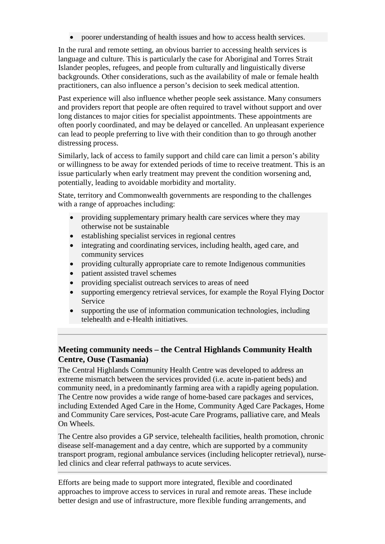• poorer understanding of health issues and how to access health services.

In the rural and remote setting, an obvious barrier to accessing health services is language and culture. This is particularly the case for Aboriginal and Torres Strait Islander peoples, refugees, and people from culturally and linguistically diverse backgrounds. Other considerations, such as the availability of male or female health practitioners, can also influence a person's decision to seek medical attention.

Past experience will also influence whether people seek assistance. Many consumers and providers report that people are often required to travel without support and over long distances to major cities for specialist appointments. These appointments are often poorly coordinated, and may be delayed or cancelled. An unpleasant experience can lead to people preferring to live with their condition than to go through another distressing process.

Similarly, lack of access to family support and child care can limit a person's ability or willingness to be away for extended periods of time to receive treatment. This is an issue particularly when early treatment may prevent the condition worsening and, potentially, leading to avoidable morbidity and mortality.

State, territory and Commonwealth governments are responding to the challenges with a range of approaches including:

- providing supplementary primary health care services where they may otherwise not be sustainable
- establishing specialist services in regional centres
- integrating and coordinating services, including health, aged care, and community services
- providing culturally appropriate care to remote Indigenous communities
- patient assisted travel schemes
- providing specialist outreach services to areas of need
- supporting emergency retrieval services, for example the Royal Flying Doctor Service
- supporting the use of information communication technologies, including telehealth and e-Health initiatives.

#### <span id="page-24-0"></span>**Meeting community needs – the Central Highlands Community Health Centre, Ouse (Tasmania)**

The Central Highlands Community Health Centre was developed to address an extreme mismatch between the services provided (i.e. acute in-patient beds) and community need, in a predominantly farming area with a rapidly ageing population. The Centre now provides a wide range of home-based care packages and services, including Extended Aged Care in the Home, Community Aged Care Packages, Home and Community Care services, Post-acute Care Programs, palliative care, and Meals On Wheels.

The Centre also provides a GP service, telehealth facilities, health promotion, chronic disease self-management and a day centre, which are supported by a community transport program, regional ambulance services (including helicopter retrieval), nurseled clinics and clear referral pathways to acute services.

Efforts are being made to support more integrated, flexible and coordinated approaches to improve access to services in rural and remote areas. These include better design and use of infrastructure, more flexible funding arrangements, and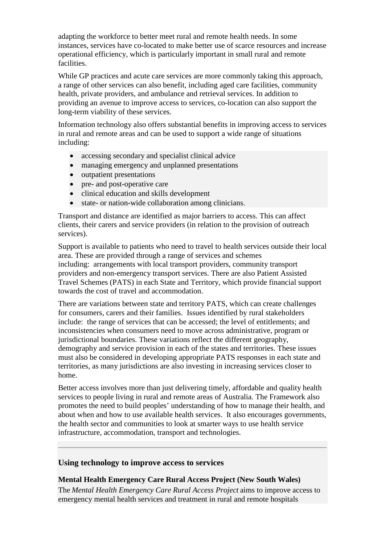adapting the workforce to better meet rural and remote health needs. In some instances, services have co-located to make better use of scarce resources and increase operational efficiency, which is particularly important in small rural and remote facilities.

While GP practices and acute care services are more commonly taking this approach, a range of other services can also benefit, including aged care facilities, community health, private providers, and ambulance and retrieval services. In addition to providing an avenue to improve access to services, co-location can also support the long-term viability of these services.

Information technology also offers substantial benefits in improving access to services in rural and remote areas and can be used to support a wide range of situations including:

- accessing secondary and specialist clinical advice
- managing emergency and unplanned presentations
- outpatient presentations
- pre- and post-operative care
- clinical education and skills development
- state- or nation-wide collaboration among clinicians.

Transport and distance are identified as major barriers to access. This can affect clients, their carers and service providers (in relation to the provision of outreach services).

Support is available to patients who need to travel to health services outside their local area. These are provided through a range of services and schemes including: arrangements with local transport providers, community transport providers and non-emergency transport services. There are also Patient Assisted Travel Schemes (PATS) in each State and Territory, which provide financial support towards the cost of travel and accommodation.

There are variations between state and territory PATS, which can create challenges for consumers, carers and their families. Issues identified by rural stakeholders include: the range of services that can be accessed; the level of entitlements; and inconsistencies when consumers need to move across administrative, program or jurisdictional boundaries. These variations reflect the different geography, demography and service provision in each of the states and territories. These issues must also be considered in developing appropriate PATS responses in each state and territories, as many jurisdictions are also investing in increasing services closer to home.

Better access involves more than just delivering timely, affordable and quality health services to people living in rural and remote areas of Australia. The Framework also promotes the need to build peoples' understanding of how to manage their health, and about when and how to use available health services. It also encourages governments, the health sector and communities to look at smarter ways to use health service infrastructure, accommodation, transport and technologies.

#### <span id="page-25-0"></span>**Using technology to improve access to services**

#### **Mental Health Emergency Care Rural Access Project (New South Wales)**

The *Mental Health Emergency Care Rural Access Project* aims to improve access to emergency mental health services and treatment in rural and remote hospitals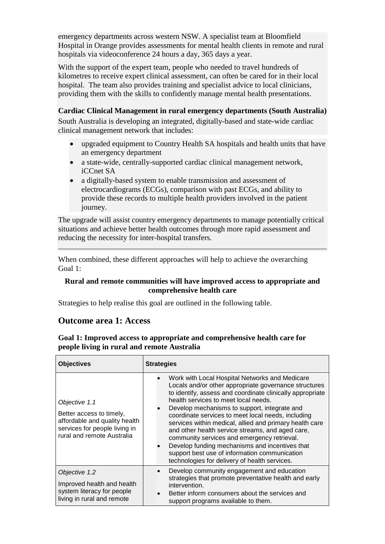emergency departments across western NSW. A specialist team at Bloomfield Hospital in Orange provides assessments for mental health clients in remote and rural hospitals via videoconference 24 hours a day, 365 days a year.

With the support of the expert team, people who needed to travel hundreds of kilometres to receive expert clinical assessment, can often be cared for in their local hospital. The team also provides training and specialist advice to local clinicians, providing them with the skills to confidently manage mental health presentations.

#### **Cardiac Clinical Management in rural emergency departments (South Australia)**

South Australia is developing an integrated, digitally-based and state-wide cardiac clinical management network that includes:

- upgraded equipment to Country Health SA hospitals and health units that have an emergency department
- a state-wide, centrally-supported cardiac clinical management network, iCCnet SA
- a digitally-based system to enable transmission and assessment of electrocardiograms (ECGs), comparison with past ECGs, and ability to provide these records to multiple health providers involved in the patient journey.

The upgrade will assist country emergency departments to manage potentially critical situations and achieve better health outcomes through more rapid assessment and reducing the necessity for inter-hospital transfers.

When combined, these different approaches will help to achieve the overarching Goal 1:

#### **Rural and remote communities will have improved access to appropriate and comprehensive health care**

Strategies to help realise this goal are outlined in the following table.

#### <span id="page-26-0"></span>**Outcome area 1: Access**

#### **Goal 1: Improved access to appropriate and comprehensive health care for people living in rural and remote Australia**

| <b>Objectives</b>                                                                                                                         | <b>Strategies</b>                                                                                                                                                                                                                                                                                                                                                                                                                                                                                                                                                                                                                    |
|-------------------------------------------------------------------------------------------------------------------------------------------|--------------------------------------------------------------------------------------------------------------------------------------------------------------------------------------------------------------------------------------------------------------------------------------------------------------------------------------------------------------------------------------------------------------------------------------------------------------------------------------------------------------------------------------------------------------------------------------------------------------------------------------|
| Objective 1.1<br>Better access to timely,<br>affordable and quality health<br>services for people living in<br>rural and remote Australia | Work with Local Hospital Networks and Medicare<br>Locals and/or other appropriate governance structures<br>to identify, assess and coordinate clinically appropriate<br>health services to meet local needs.<br>Develop mechanisms to support, integrate and<br>coordinate services to meet local needs, including<br>services within medical, allied and primary health care<br>and other health service streams, and aged care,<br>community services and emergency retrieval.<br>Develop funding mechanisms and incentives that<br>support best use of information communication<br>technologies for delivery of health services. |
| Objective 1.2<br>Improved health and health<br>system literacy for people<br>living in rural and remote                                   | Develop community engagement and education<br>strategies that promote preventative health and early<br>intervention.<br>Better inform consumers about the services and<br>support programs available to them.                                                                                                                                                                                                                                                                                                                                                                                                                        |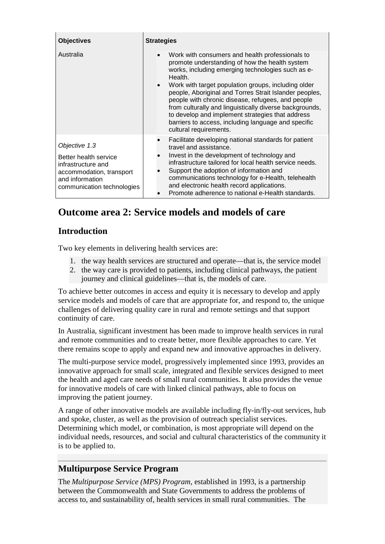| <b>Objectives</b>                                                                                                                         | <b>Strategies</b>                                                                                                                                                                                                                                                                                                                                                                                                                                                                                                                                                 |
|-------------------------------------------------------------------------------------------------------------------------------------------|-------------------------------------------------------------------------------------------------------------------------------------------------------------------------------------------------------------------------------------------------------------------------------------------------------------------------------------------------------------------------------------------------------------------------------------------------------------------------------------------------------------------------------------------------------------------|
| Australia                                                                                                                                 | Work with consumers and health professionals to<br>$\bullet$<br>promote understanding of how the health system<br>works, including emerging technologies such as e-<br>Health.<br>Work with target population groups, including older<br>$\bullet$<br>people, Aboriginal and Torres Strait Islander peoples,<br>people with chronic disease, refugees, and people<br>from culturally and linguistically diverse backgrounds,<br>to develop and implement strategies that address<br>barriers to access, including language and specific<br>cultural requirements. |
| Objective 1.3<br>Better health service<br>infrastructure and<br>accommodation, transport<br>and information<br>communication technologies | Facilitate developing national standards for patient<br>travel and assistance.<br>Invest in the development of technology and<br>infrastructure tailored for local health service needs.<br>Support the adoption of information and<br>communications technology for e-Health, telehealth<br>and electronic health record applications.<br>Promote adherence to national e-Health standards.                                                                                                                                                                      |

# <span id="page-27-0"></span>**Outcome area 2: Service models and models of care**

## <span id="page-27-1"></span>**Introduction**

Two key elements in delivering health services are:

- 1. the way health services are structured and operate—that is, the service model
- 2. the way care is provided to patients, including clinical pathways, the patient journey and clinical guidelines—that is, the models of care.

To achieve better outcomes in access and equity it is necessary to develop and apply service models and models of care that are appropriate for, and respond to, the unique challenges of delivering quality care in rural and remote settings and that support continuity of care.

In Australia, significant investment has been made to improve health services in rural and remote communities and to create better, more flexible approaches to care. Yet there remains scope to apply and expand new and innovative approaches in delivery.

The multi-purpose service model, progressively implemented since 1993, provides an innovative approach for small scale, integrated and flexible services designed to meet the health and aged care needs of small rural communities. It also provides the venue for innovative models of care with linked clinical pathways, able to focus on improving the patient journey.

A range of other innovative models are available including fly-in/fly-out services, hub and spoke, cluster, as well as the provision of outreach specialist services. Determining which model, or combination, is most appropriate will depend on the individual needs, resources, and social and cultural characteristics of the community it is to be applied to.

### <span id="page-27-2"></span>**Multipurpose Service Program**

The *Multipurpose Service (MPS) Program*, established in 1993, is a partnership between the Commonwealth and State Governments to address the problems of access to, and sustainability of, health services in small rural communities. The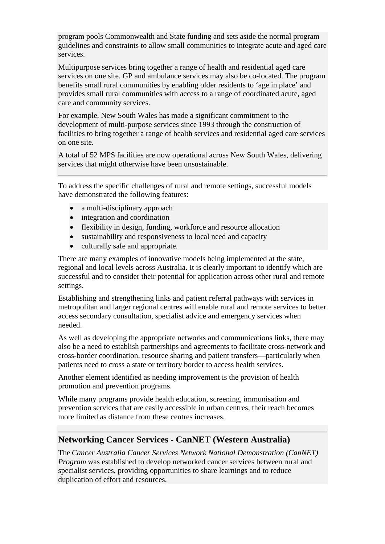program pools Commonwealth and State funding and sets aside the normal program guidelines and constraints to allow small communities to integrate acute and aged care services.

Multipurpose services bring together a range of health and residential aged care services on one site. GP and ambulance services may also be co-located. The program benefits small rural communities by enabling older residents to 'age in place' and provides small rural communities with access to a range of coordinated acute, aged care and community services.

For example, New South Wales has made a significant commitment to the development of multi-purpose services since 1993 through the construction of facilities to bring together a range of health services and residential aged care services on one site.

A total of 52 MPS facilities are now operational across New South Wales, delivering services that might otherwise have been unsustainable.

To address the specific challenges of rural and remote settings, successful models have demonstrated the following features:

- a multi-disciplinary approach
- integration and coordination
- flexibility in design, funding, workforce and resource allocation
- sustainability and responsiveness to local need and capacity
- culturally safe and appropriate.

There are many examples of innovative models being implemented at the state, regional and local levels across Australia. It is clearly important to identify which are successful and to consider their potential for application across other rural and remote settings.

Establishing and strengthening links and patient referral pathways with services in metropolitan and larger regional centres will enable rural and remote services to better access secondary consultation, specialist advice and emergency services when needed.

As well as developing the appropriate networks and communications links, there may also be a need to establish partnerships and agreements to facilitate cross-network and cross-border coordination, resource sharing and patient transfers—particularly when patients need to cross a state or territory border to access health services.

Another element identified as needing improvement is the provision of health promotion and prevention programs.

While many programs provide health education, screening, immunisation and prevention services that are easily accessible in urban centres, their reach becomes more limited as distance from these centres increases.

#### <span id="page-28-0"></span>**Networking Cancer Services - CanNET (Western Australia)**

The *Cancer Australia Cancer Services Network National Demonstration (CanNET) Program* was established to develop networked cancer services between rural and specialist services, providing opportunities to share learnings and to reduce duplication of effort and resources.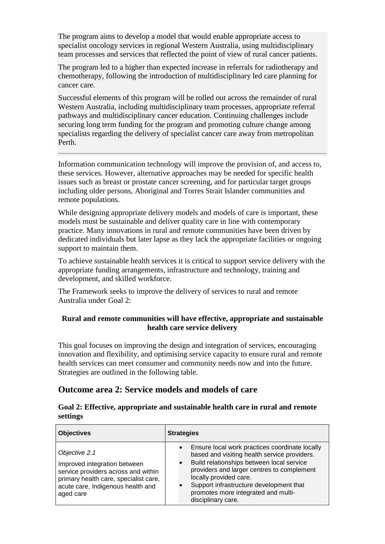The program aims to develop a model that would enable appropriate access to specialist oncology services in regional Western Australia, using multidisciplinary team processes and services that reflected the point of view of rural cancer patients.

The program led to a higher than expected increase in referrals for radiotherapy and chemotherapy, following the introduction of multidisciplinary led care planning for cancer care.

Successful elements of this program will be rolled out across the remainder of rural Western Australia, including multidisciplinary team processes, appropriate referral pathways and multidisciplinary cancer education. Continuing challenges include securing long term funding for the program and promoting culture change among specialists regarding the delivery of specialist cancer care away from metropolitan Perth.

Information communication technology will improve the provision of, and access to, these services. However, alternative approaches may be needed for specific health issues such as breast or prostate cancer screening, and for particular target groups including older persons, Aboriginal and Torres Strait Islander communities and remote populations.

While designing appropriate delivery models and models of care is important, these models must be sustainable and deliver quality care in line with contemporary practice. Many innovations in rural and remote communities have been driven by dedicated individuals but later lapse as they lack the appropriate facilities or ongoing support to maintain them.

To achieve sustainable health services it is critical to support service delivery with the appropriate funding arrangements, infrastructure and technology, training and development, and skilled workforce.

The Framework seeks to improve the delivery of services to rural and remote Australia under Goal 2:

#### **Rural and remote communities will have effective, appropriate and sustainable health care service delivery**

This goal focuses on improving the design and integration of services, encouraging innovation and flexibility, and optimising service capacity to ensure rural and remote health services can meet consumer and community needs now and into the future. Strategies are outlined in the following table.

#### <span id="page-29-0"></span>**Outcome area 2: Service models and models of care**

| Goal 2: Effective, appropriate and sustainable health care in rural and remote |  |  |  |
|--------------------------------------------------------------------------------|--|--|--|
| settings                                                                       |  |  |  |

| <b>Objectives</b>                                                                                                                                                               | <b>Strategies</b>                                                                                                                                                                                                                                                                                                                                     |
|---------------------------------------------------------------------------------------------------------------------------------------------------------------------------------|-------------------------------------------------------------------------------------------------------------------------------------------------------------------------------------------------------------------------------------------------------------------------------------------------------------------------------------------------------|
| Objective 2.1<br>Improved integration between<br>service providers across and within<br>primary health care, specialist care,<br>acute care, Indigenous health and<br>aged care | Ensure local work practices coordinate locally<br>$\bullet$<br>based and visiting health service providers.<br>Build relationships between local service<br>$\bullet$<br>providers and larger centres to complement<br>locally provided care.<br>Support infrastructure development that<br>promotes more integrated and multi-<br>disciplinary care. |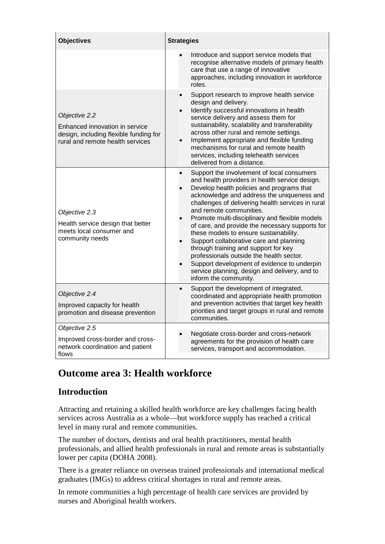| <b>Objectives</b>                                                                                                             | <b>Strategies</b>                                                                                                                                                                                                                                                                                                                                                                                                                                                                                                                                                                                                                                                              |
|-------------------------------------------------------------------------------------------------------------------------------|--------------------------------------------------------------------------------------------------------------------------------------------------------------------------------------------------------------------------------------------------------------------------------------------------------------------------------------------------------------------------------------------------------------------------------------------------------------------------------------------------------------------------------------------------------------------------------------------------------------------------------------------------------------------------------|
|                                                                                                                               | Introduce and support service models that<br>recognise alternative models of primary health<br>care that use a range of innovative<br>approaches, including innovation in workforce<br>roles.                                                                                                                                                                                                                                                                                                                                                                                                                                                                                  |
| Objective 2.2<br>Enhanced innovation in service<br>design, including flexible funding for<br>rural and remote health services | Support research to improve health service<br>$\bullet$<br>design and delivery.<br>Identify successful innovations in health<br>service delivery and assess them for<br>sustainability, scalability and transferability<br>across other rural and remote settings.<br>Implement appropriate and flexible funding<br>mechanisms for rural and remote health<br>services, including telehealth services<br>delivered from a distance.                                                                                                                                                                                                                                            |
| Objective 2.3<br>Health service design that better<br>meets local consumer and<br>community needs                             | Support the involvement of local consumers<br>and health providers in health service design.<br>Develop health policies and programs that<br>acknowledge and address the uniqueness and<br>challenges of delivering health services in rural<br>and remote communities.<br>Promote multi-disciplinary and flexible models<br>of care, and provide the necessary supports for<br>these models to ensure sustainability.<br>Support collaborative care and planning<br>through training and support for key<br>professionals outside the health sector.<br>Support development of evidence to underpin<br>service planning, design and delivery, and to<br>inform the community. |
| Objective 2.4<br>Improved capacity for health<br>promotion and disease prevention                                             | Support the development of integrated,<br>$\bullet$<br>coordinated and appropriate health promotion<br>and prevention activities that target key health<br>priorities and target groups in rural and remote<br>communities.                                                                                                                                                                                                                                                                                                                                                                                                                                                    |
| Objective 2.5<br>Improved cross-border and cross-<br>network coordination and patient<br>flows                                | Negotiate cross-border and cross-network<br>agreements for the provision of health care<br>services, transport and accommodation.                                                                                                                                                                                                                                                                                                                                                                                                                                                                                                                                              |

# <span id="page-30-0"></span>**Outcome area 3: Health workforce**

# <span id="page-30-1"></span>**Introduction**

Attracting and retaining a skilled health workforce are key challenges facing health services across Australia as a whole—but workforce supply has reached a critical level in many rural and remote communities.

The number of doctors, dentists and oral health practitioners, mental health professionals, and allied health professionals in rural and remote areas is substantially lower per capita (DOHA 2008).

There is a greater reliance on overseas trained professionals and international medical graduates (IMGs) to address critical shortages in rural and remote areas.

In remote communities a high percentage of health care services are provided by nurses and Aboriginal health workers.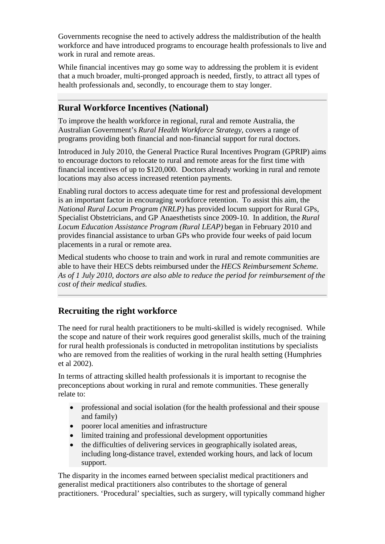Governments recognise the need to actively address the maldistribution of the health workforce and have introduced programs to encourage health professionals to live and work in rural and remote areas.

While financial incentives may go some way to addressing the problem it is evident that a much broader, multi-pronged approach is needed, firstly, to attract all types of health professionals and, secondly, to encourage them to stay longer.

#### <span id="page-31-0"></span>**Rural Workforce Incentives (National)**

To improve the health workforce in regional, rural and remote Australia, the Australian Government's *Rural Health Workforce Strategy*, covers a range of programs providing both financial and non-financial support for rural doctors.

Introduced in July 2010, the General Practice Rural Incentives Program (GPRIP) aims to encourage doctors to relocate to rural and remote areas for the first time with financial incentives of up to \$120,000. Doctors already working in rural and remote locations may also access increased retention payments.

Enabling rural doctors to access adequate time for rest and professional development is an important factor in encouraging workforce retention. To assist this aim, the *National Rural Locum Program (NRLP)* has provided locum support for Rural GPs, Specialist Obstetricians, and GP Anaesthetists since 2009-10. In addition, the *Rural Locum Education Assistance Program (Rural LEAP)* began in February 2010 and provides financial assistance to urban GPs who provide four weeks of paid locum placements in a rural or remote area.

Medical students who choose to train and work in rural and remote communities are able to have their HECS debts reimbursed under the *HECS Reimbursement Scheme. As of 1 July 2010, doctors are also able to reduce the period for reimbursement of the cost of their medical studies.*

### <span id="page-31-1"></span>**Recruiting the right workforce**

The need for rural health practitioners to be multi-skilled is widely recognised. While the scope and nature of their work requires good generalist skills, much of the training for rural health professionals is conducted in metropolitan institutions by specialists who are removed from the realities of working in the rural health setting (Humphries et al 2002).

In terms of attracting skilled health professionals it is important to recognise the preconceptions about working in rural and remote communities. These generally relate to:

- professional and social isolation (for the health professional and their spouse and family)
- poorer local amenities and infrastructure
- limited training and professional development opportunities
- the difficulties of delivering services in geographically isolated areas, including long-distance travel, extended working hours, and lack of locum support.

The disparity in the incomes earned between specialist medical practitioners and generalist medical practitioners also contributes to the shortage of general practitioners. 'Procedural' specialties, such as surgery, will typically command higher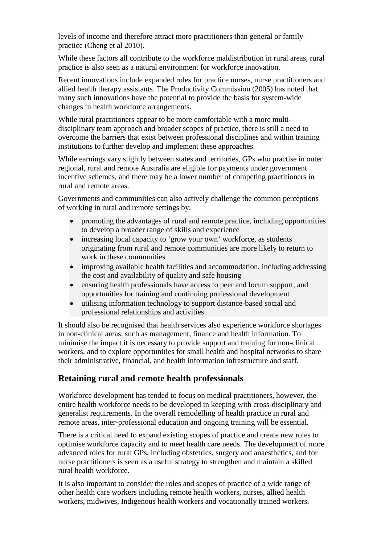levels of income and therefore attract more practitioners than general or family practice (Cheng et al 2010).

While these factors all contribute to the workforce maldistribution in rural areas, rural practice is also seen as a natural environment for workforce innovation.

Recent innovations include expanded roles for practice nurses, nurse practitioners and allied health therapy assistants. The Productivity Commission (2005) has noted that many such innovations have the potential to provide the basis for system-wide changes in health workforce arrangements.

While rural practitioners appear to be more comfortable with a more multidisciplinary team approach and broader scopes of practice, there is still a need to overcome the barriers that exist between professional disciplines and within training institutions to further develop and implement these approaches.

While earnings vary slightly between states and territories, GPs who practise in outer regional, rural and remote Australia are eligible for payments under government incentive schemes, and there may be a lower number of competing practitioners in rural and remote areas.

Governments and communities can also actively challenge the common perceptions of working in rural and remote settings by:

- promoting the advantages of rural and remote practice, including opportunities to develop a broader range of skills and experience
- increasing local capacity to 'grow your own' workforce, as students originating from rural and remote communities are more likely to return to work in these communities
- improving available health facilities and accommodation, including addressing the cost and availability of quality and safe housing
- ensuring health professionals have access to peer and locum support, and opportunities for training and continuing professional development
- utilising information technology to support distance-based social and professional relationships and activities.

It should also be recognised that health services also experience workforce shortages in non-clinical areas, such as management, finance and health information. To minimise the impact it is necessary to provide support and training for non-clinical workers, and to explore opportunities for small health and hospital networks to share their administrative, financial, and health information infrastructure and staff.

### <span id="page-32-0"></span>**Retaining rural and remote health professionals**

Workforce development has tended to focus on medical practitioners, however, the entire health workforce needs to be developed in keeping with cross-disciplinary and generalist requirements. In the overall remodelling of health practice in rural and remote areas, inter-professional education and ongoing training will be essential.

There is a critical need to expand existing scopes of practice and create new roles to optimise workforce capacity and to meet health care needs. The development of more advanced roles for rural GPs, including obstetrics, surgery and anaesthetics, and for nurse practitioners is seen as a useful strategy to strengthen and maintain a skilled rural health workforce.

It is also important to consider the roles and scopes of practice of a wide range of other health care workers including remote health workers, nurses, allied health workers, midwives, Indigenous health workers and vocationally trained workers.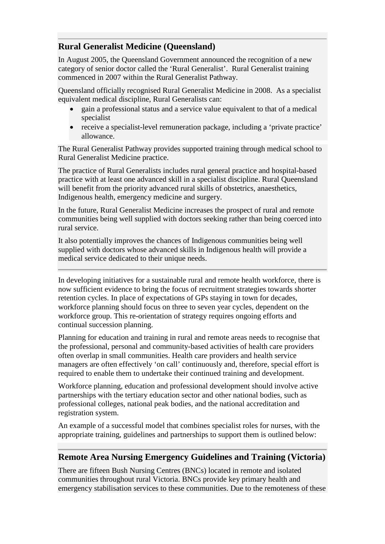## <span id="page-33-0"></span>**Rural Generalist Medicine (Queensland)**

In August 2005, the Queensland Government announced the recognition of a new category of senior doctor called the 'Rural Generalist'. Rural Generalist training commenced in 2007 within the Rural Generalist Pathway.

Queensland officially recognised Rural Generalist Medicine in 2008. As a specialist equivalent medical discipline, Rural Generalists can:

- gain a professional status and a service value equivalent to that of a medical specialist
- receive a specialist-level remuneration package, including a 'private practice' allowance.

The Rural Generalist Pathway provides supported training through medical school to Rural Generalist Medicine practice.

The practice of Rural Generalists includes rural general practice and hospital-based practice with at least one advanced skill in a specialist discipline. Rural Queensland will benefit from the priority advanced rural skills of obstetrics, anaesthetics, Indigenous health, emergency medicine and surgery.

In the future, Rural Generalist Medicine increases the prospect of rural and remote communities being well supplied with doctors seeking rather than being coerced into rural service.

It also potentially improves the chances of Indigenous communities being well supplied with doctors whose advanced skills in Indigenous health will provide a medical service dedicated to their unique needs.

In developing initiatives for a sustainable rural and remote health workforce, there is now sufficient evidence to bring the focus of recruitment strategies towards shorter retention cycles. In place of expectations of GPs staying in town for decades, workforce planning should focus on three to seven year cycles, dependent on the workforce group. This re-orientation of strategy requires ongoing efforts and continual succession planning.

Planning for education and training in rural and remote areas needs to recognise that the professional, personal and community-based activities of health care providers often overlap in small communities. Health care providers and health service managers are often effectively 'on call' continuously and, therefore, special effort is required to enable them to undertake their continued training and development.

Workforce planning, education and professional development should involve active partnerships with the tertiary education sector and other national bodies, such as professional colleges, national peak bodies, and the national accreditation and registration system.

An example of a successful model that combines specialist roles for nurses, with the appropriate training, guidelines and partnerships to support them is outlined below:

### <span id="page-33-1"></span>**Remote Area Nursing Emergency Guidelines and Training (Victoria)**

There are fifteen Bush Nursing Centres (BNCs) located in remote and isolated communities throughout rural Victoria. BNCs provide key primary health and emergency stabilisation services to these communities. Due to the remoteness of these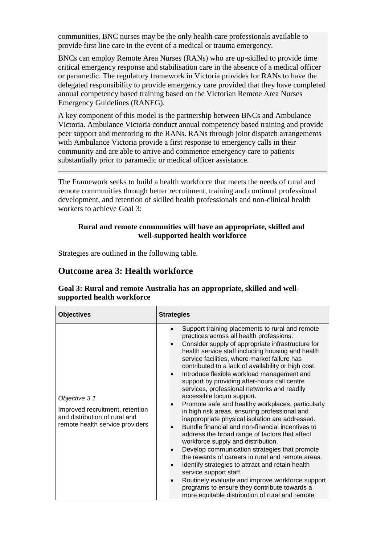communities, BNC nurses may be the only health care professionals available to provide first line care in the event of a medical or trauma emergency.

BNCs can employ Remote Area Nurses (RANs) who are up-skilled to provide time critical emergency response and stabilisation care in the absence of a medical officer or paramedic. The regulatory framework in Victoria provides for RANs to have the delegated responsibility to provide emergency care provided that they have completed annual competency based training based on the Victorian Remote Area Nurses Emergency Guidelines (RANEG).

A key component of this model is the partnership between BNCs and Ambulance Victoria. Ambulance Victoria conduct annual competency based training and provide peer support and mentoring to the RANs. RANs through joint dispatch arrangements with Ambulance Victoria provide a first response to emergency calls in their community and are able to arrive and commence emergency care to patients substantially prior to paramedic or medical officer assistance.

The Framework seeks to build a health workforce that meets the needs of rural and remote communities through better recruitment, training and continual professional development, and retention of skilled health professionals and non-clinical health workers to achieve Goal 3:

#### **Rural and remote communities will have an appropriate, skilled and well-supported health workforce**

Strategies are outlined in the following table.

#### <span id="page-34-0"></span>**Outcome area 3: Health workforce**

| <b>Objectives</b>                                                                                                    | <b>Strategies</b>                                                                                                                                                                                                                                                                                                                                                                                                                                                                                                                                                                                                                                                                                                                                                                                                                                                                                                                                                                                                                                                                                                                      |
|----------------------------------------------------------------------------------------------------------------------|----------------------------------------------------------------------------------------------------------------------------------------------------------------------------------------------------------------------------------------------------------------------------------------------------------------------------------------------------------------------------------------------------------------------------------------------------------------------------------------------------------------------------------------------------------------------------------------------------------------------------------------------------------------------------------------------------------------------------------------------------------------------------------------------------------------------------------------------------------------------------------------------------------------------------------------------------------------------------------------------------------------------------------------------------------------------------------------------------------------------------------------|
| Objective 3.1<br>Improved recruitment, retention<br>and distribution of rural and<br>remote health service providers | Support training placements to rural and remote<br>practices across all health professions.<br>Consider supply of appropriate infrastructure for<br>health service staff including housing and health<br>service facilities, where market failure has<br>contributed to a lack of availability or high cost.<br>Introduce flexible workload management and<br>support by providing after-hours call centre<br>services, professional networks and readily<br>accessible locum support.<br>Promote safe and healthy workplaces, particularly<br>in high risk areas, ensuring professional and<br>inappropriate physical isolation are addressed.<br>Bundle financial and non-financial incentives to<br>address the broad range of factors that affect<br>workforce supply and distribution.<br>Develop communication strategies that promote<br>the rewards of careers in rural and remote areas.<br>Identify strategies to attract and retain health<br>service support staff.<br>Routinely evaluate and improve workforce support<br>programs to ensure they contribute towards a<br>more equitable distribution of rural and remote |

#### **Goal 3: Rural and remote Australia has an appropriate, skilled and wellsupported health workforce**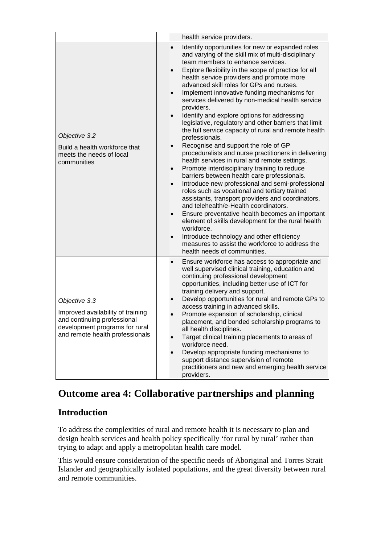|                                                                                                                                                        | health service providers.                                                                                                                                                                                                                                                                                                                                                                                                                                                                                                                                                                                                                                                                                                                                                                                                                                                                                                                                                                                                                                                                                                                                                                                                                                                                                                                                     |  |
|--------------------------------------------------------------------------------------------------------------------------------------------------------|---------------------------------------------------------------------------------------------------------------------------------------------------------------------------------------------------------------------------------------------------------------------------------------------------------------------------------------------------------------------------------------------------------------------------------------------------------------------------------------------------------------------------------------------------------------------------------------------------------------------------------------------------------------------------------------------------------------------------------------------------------------------------------------------------------------------------------------------------------------------------------------------------------------------------------------------------------------------------------------------------------------------------------------------------------------------------------------------------------------------------------------------------------------------------------------------------------------------------------------------------------------------------------------------------------------------------------------------------------------|--|
| Objective 3.2<br>Build a health workforce that<br>meets the needs of local<br>communities                                                              | Identify opportunities for new or expanded roles<br>and varying of the skill mix of multi-disciplinary<br>team members to enhance services.<br>Explore flexibility in the scope of practice for all<br>health service providers and promote more<br>advanced skill roles for GPs and nurses.<br>Implement innovative funding mechanisms for<br>services delivered by non-medical health service<br>providers.<br>Identify and explore options for addressing<br>legislative, regulatory and other barriers that limit<br>the full service capacity of rural and remote health<br>professionals.<br>Recognise and support the role of GP<br>$\bullet$<br>proceduralists and nurse practitioners in delivering<br>health services in rural and remote settings.<br>Promote interdisciplinary training to reduce<br>$\bullet$<br>barriers between health care professionals.<br>Introduce new professional and semi-professional<br>$\bullet$<br>roles such as vocational and tertiary trained<br>assistants, transport providers and coordinators,<br>and telehealth/e-Health coordinators.<br>Ensure preventative health becomes an important<br>$\bullet$<br>element of skills development for the rural health<br>workforce.<br>Introduce technology and other efficiency<br>measures to assist the workforce to address the<br>health needs of communities. |  |
| Objective 3.3<br>Improved availability of training<br>and continuing professional<br>development programs for rural<br>and remote health professionals | Ensure workforce has access to appropriate and<br>$\bullet$<br>well supervised clinical training, education and<br>continuing professional development<br>opportunities, including better use of ICT for<br>training delivery and support.<br>Develop opportunities for rural and remote GPs to<br>access training in advanced skills.<br>Promote expansion of scholarship, clinical<br>placement, and bonded scholarship programs to<br>all health disciplines.<br>Target clinical training placements to areas of<br>workforce need.<br>Develop appropriate funding mechanisms to<br>support distance supervision of remote<br>practitioners and new and emerging health service<br>providers.                                                                                                                                                                                                                                                                                                                                                                                                                                                                                                                                                                                                                                                              |  |

# <span id="page-35-0"></span>**Outcome area 4: Collaborative partnerships and planning**

# <span id="page-35-1"></span>**Introduction**

To address the complexities of rural and remote health it is necessary to plan and design health services and health policy specifically 'for rural by rural' rather than trying to adapt and apply a metropolitan health care model.

This would ensure consideration of the specific needs of Aboriginal and Torres Strait Islander and geographically isolated populations, and the great diversity between rural and remote communities.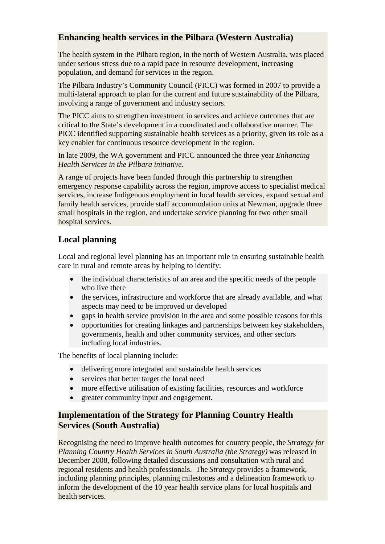### <span id="page-36-0"></span>**Enhancing health services in the Pilbara (Western Australia)**

The health system in the Pilbara region, in the north of Western Australia, was placed under serious stress due to a rapid pace in resource development, increasing population, and demand for services in the region.

The Pilbara Industry's Community Council (PICC) was formed in 2007 to provide a multi-lateral approach to plan for the current and future sustainability of the Pilbara, involving a range of government and industry sectors.

The PICC aims to strengthen investment in services and achieve outcomes that are critical to the State's development in a coordinated and collaborative manner. The PICC identified supporting sustainable health services as a priority, given its role as a key enabler for continuous resource development in the region.

In late 2009, the WA government and PICC announced the three year *Enhancing Health Services in the Pilbara initiative*.

A range of projects have been funded through this partnership to strengthen emergency response capability across the region, improve access to specialist medical services, increase Indigenous employment in local health services, expand sexual and family health services, provide staff accommodation units at Newman, upgrade three small hospitals in the region, and undertake service planning for two other small hospital services.

# <span id="page-36-1"></span>**Local planning**

Local and regional level planning has an important role in ensuring sustainable health care in rural and remote areas by helping to identify:

- the individual characteristics of an area and the specific needs of the people who live there
- the services, infrastructure and workforce that are already available, and what aspects may need to be improved or developed
- gaps in health service provision in the area and some possible reasons for this
- opportunities for creating linkages and partnerships between key stakeholders, governments, health and other community services, and other sectors including local industries.

The benefits of local planning include:

- delivering more integrated and sustainable health services
- services that better target the local need
- more effective utilisation of existing facilities, resources and workforce
- greater community input and engagement.

## <span id="page-36-2"></span>**Implementation of the Strategy for Planning Country Health Services (South Australia)**

Recognising the need to improve health outcomes for country people, the *Strategy for Planning Country Health Services in South Australia (the Strategy)* was released in December 2008, following detailed discussions and consultation with rural and regional residents and health professionals. The *Strategy* provides a framework, including planning principles, planning milestones and a delineation framework to inform the development of the 10 year health service plans for local hospitals and health services.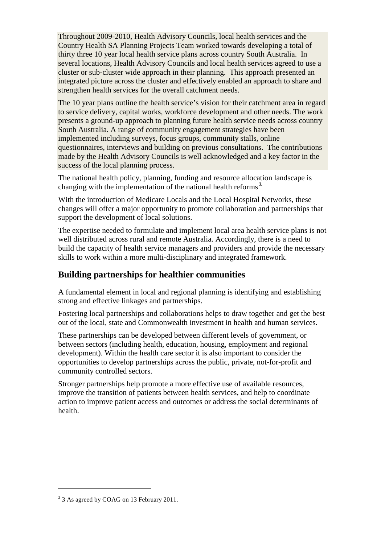Throughout 2009-2010, Health Advisory Councils, local health services and the Country Health SA Planning Projects Team worked towards developing a total of thirty three 10 year local health service plans across country South Australia. In several locations, Health Advisory Councils and local health services agreed to use a cluster or sub-cluster wide approach in their planning. This approach presented an integrated picture across the cluster and effectively enabled an approach to share and strengthen health services for the overall catchment needs.

The 10 year plans outline the health service's vision for their catchment area in regard to service delivery, capital works, workforce development and other needs. The work presents a ground-up approach to planning future health service needs across country South Australia. A range of community engagement strategies have been implemented including surveys, focus groups, community stalls, online questionnaires, interviews and building on previous consultations. The contributions made by the Health Advisory Councils is well acknowledged and a key factor in the success of the local planning process.

The national health policy, planning, funding and resource allocation landscape is changing with the implementation of the national health reforms<sup>[3.](#page-37-1)</sup>

With the introduction of Medicare Locals and the Local Hospital Networks, these changes will offer a major opportunity to promote collaboration and partnerships that support the development of local solutions.

The expertise needed to formulate and implement local area health service plans is not well distributed across rural and remote Australia. Accordingly, there is a need to build the capacity of health service managers and providers and provide the necessary skills to work within a more multi-disciplinary and integrated framework.

### <span id="page-37-0"></span>**Building partnerships for healthier communities**

A fundamental element in local and regional planning is identifying and establishing strong and effective linkages and partnerships.

Fostering local partnerships and collaborations helps to draw together and get the best out of the local, state and Commonwealth investment in health and human services.

These partnerships can be developed between different levels of government, or between sectors (including health, education, housing, employment and regional development). Within the health care sector it is also important to consider the opportunities to develop partnerships across the public, private, not-for-profit and community controlled sectors.

Stronger partnerships help promote a more effective use of available resources, improve the transition of patients between health services, and help to coordinate action to improve patient access and outcomes or address the social determinants of health.

<u>.</u>

<span id="page-37-1"></span><sup>&</sup>lt;sup>3</sup> 3 As agreed by COAG on 13 February 2011.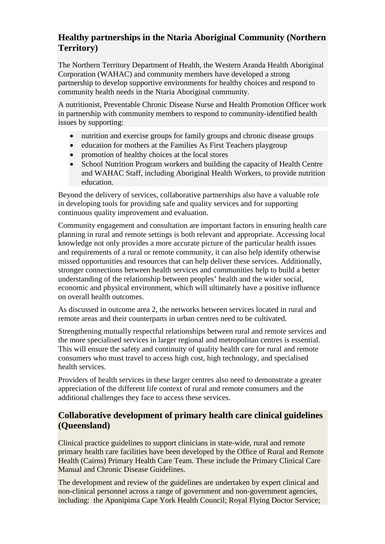### <span id="page-38-0"></span>**Healthy partnerships in the Ntaria Aboriginal Community (Northern Territory)**

The Northern Territory Department of Health, the Western Aranda Health Aboriginal Corporation (WAHAC) and community members have developed a strong partnership to develop supportive environments for healthy choices and respond to community health needs in the Ntaria Aboriginal community.

A nutritionist, Preventable Chronic Disease Nurse and Health Promotion Officer work in partnership with community members to respond to community-identified health issues by supporting:

- nutrition and exercise groups for family groups and chronic disease groups
- education for mothers at the Families As First Teachers playgroup
- promotion of healthy choices at the local stores
- School Nutrition Program workers and building the capacity of Health Centre and WAHAC Staff, including Aboriginal Health Workers, to provide nutrition education.

Beyond the delivery of services, collaborative partnerships also have a valuable role in developing tools for providing safe and quality services and for supporting continuous quality improvement and evaluation.

Community engagement and consultation are important factors in ensuring health care planning in rural and remote settings is both relevant and appropriate. Accessing local knowledge not only provides a more accurate picture of the particular health issues and requirements of a rural or remote community, it can also help identify otherwise missed opportunities and resources that can help deliver these services. Additionally, stronger connections between health services and communities help to build a better understanding of the relationship between peoples' health and the wider social, economic and physical environment, which will ultimately have a positive influence on overall health outcomes.

As discussed in outcome area 2, the networks between services located in rural and remote areas and their counterparts in urban centres need to be cultivated.

Strengthening mutually respectful relationships between rural and remote services and the more specialised services in larger regional and metropolitan centres is essential. This will ensure the safety and continuity of quality health care for rural and remote consumers who must travel to access high cost, high technology, and specialised health services.

Providers of health services in these larger centres also need to demonstrate a greater appreciation of the different life context of rural and remote consumers and the additional challenges they face to access these services.

### <span id="page-38-1"></span>**Collaborative development of primary health care clinical guidelines (Queensland)**

Clinical practice guidelines to support clinicians in state-wide, rural and remote primary health care facilities have been developed by the Office of Rural and Remote Health (Cairns) Primary Health Care Team. These include the Primary Clinical Care Manual and Chronic Disease Guidelines.

The development and review of the guidelines are undertaken by expert clinical and non-clinical personnel across a range of government and non-government agencies, including: the Apunipima Cape York Health Council; Royal Flying Doctor Service;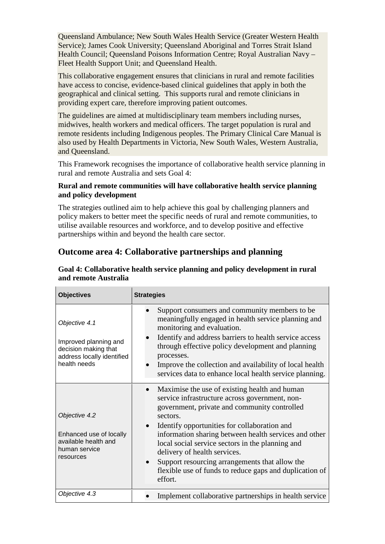Queensland Ambulance; New South Wales Health Service (Greater Western Health Service); James Cook University; Queensland Aboriginal and Torres Strait Island Health Council; Queensland Poisons Information Centre; Royal Australian Navy – Fleet Health Support Unit; and Queensland Health.

This collaborative engagement ensures that clinicians in rural and remote facilities have access to concise, evidence-based clinical guidelines that apply in both the geographical and clinical setting. This supports rural and remote clinicians in providing expert care, therefore improving patient outcomes.

The guidelines are aimed at multidisciplinary team members including nurses, midwives, health workers and medical officers. The target population is rural and remote residents including Indigenous peoples. The Primary Clinical Care Manual is also used by Health Departments in Victoria, New South Wales, Western Australia, and Queensland.

This Framework recognises the importance of collaborative health service planning in rural and remote Australia and sets Goal 4:

#### **Rural and remote communities will have collaborative health service planning and policy development**

The strategies outlined aim to help achieve this goal by challenging planners and policy makers to better meet the specific needs of rural and remote communities, to utilise available resources and workforce, and to develop positive and effective partnerships within and beyond the health care sector.

### <span id="page-39-0"></span>**Outcome area 4: Collaborative partnerships and planning**

| <b>Objectives</b>                                                                                            | <b>Strategies</b>                                                                                                                                                                                                                                                                                                                                                                                                                                                                |
|--------------------------------------------------------------------------------------------------------------|----------------------------------------------------------------------------------------------------------------------------------------------------------------------------------------------------------------------------------------------------------------------------------------------------------------------------------------------------------------------------------------------------------------------------------------------------------------------------------|
| Objective 4.1<br>Improved planning and<br>decision making that<br>address locally identified<br>health needs | Support consumers and community members to be<br>meaningfully engaged in health service planning and<br>monitoring and evaluation.<br>Identify and address barriers to health service access<br>through effective policy development and planning<br>processes.<br>Improve the collection and availability of local health<br>services data to enhance local health service planning.                                                                                            |
| Objective 4.2<br>Enhanced use of locally<br>available health and<br>human service<br>resources               | Maximise the use of existing health and human<br>service infrastructure across government, non-<br>government, private and community controlled<br>sectors.<br>Identify opportunities for collaboration and<br>information sharing between health services and other<br>local social service sectors in the planning and<br>delivery of health services.<br>Support resourcing arrangements that allow the<br>flexible use of funds to reduce gaps and duplication of<br>effort. |
| Objective 4.3                                                                                                | Implement collaborative partnerships in health service                                                                                                                                                                                                                                                                                                                                                                                                                           |

#### **Goal 4: Collaborative health service planning and policy development in rural and remote Australia**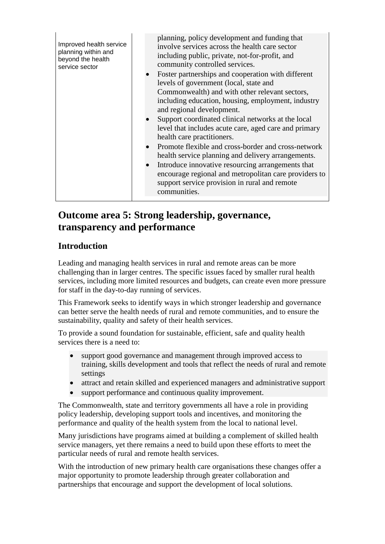| Improved health service<br>planning within and<br>beyond the health<br>service sector | planning, policy development and funding that<br>involve services across the health care sector<br>including public, private, not-for-profit, and<br>community controlled services.<br>Foster partnerships and cooperation with different<br>levels of government (local, state and<br>Commonwealth) and with other relevant sectors,<br>including education, housing, employment, industry<br>and regional development.<br>Support coordinated clinical networks at the local<br>level that includes acute care, aged care and primary<br>health care practitioners.<br>Promote flexible and cross-border and cross-network<br>health service planning and delivery arrangements.<br>Introduce innovative resourcing arrangements that<br>encourage regional and metropolitan care providers to<br>support service provision in rural and remote<br>communities. |
|---------------------------------------------------------------------------------------|-------------------------------------------------------------------------------------------------------------------------------------------------------------------------------------------------------------------------------------------------------------------------------------------------------------------------------------------------------------------------------------------------------------------------------------------------------------------------------------------------------------------------------------------------------------------------------------------------------------------------------------------------------------------------------------------------------------------------------------------------------------------------------------------------------------------------------------------------------------------|
|---------------------------------------------------------------------------------------|-------------------------------------------------------------------------------------------------------------------------------------------------------------------------------------------------------------------------------------------------------------------------------------------------------------------------------------------------------------------------------------------------------------------------------------------------------------------------------------------------------------------------------------------------------------------------------------------------------------------------------------------------------------------------------------------------------------------------------------------------------------------------------------------------------------------------------------------------------------------|

# <span id="page-40-0"></span>**Outcome area 5: Strong leadership, governance, transparency and performance**

# <span id="page-40-1"></span>**Introduction**

Leading and managing health services in rural and remote areas can be more challenging than in larger centres. The specific issues faced by smaller rural health services, including more limited resources and budgets, can create even more pressure for staff in the day-to-day running of services.

This Framework seeks to identify ways in which stronger leadership and governance can better serve the health needs of rural and remote communities, and to ensure the sustainability, quality and safety of their health services.

To provide a sound foundation for sustainable, efficient, safe and quality health services there is a need to:

- support good governance and management through improved access to training, skills development and tools that reflect the needs of rural and remote settings
- attract and retain skilled and experienced managers and administrative support
- support performance and continuous quality improvement.

The Commonwealth, state and territory governments all have a role in providing policy leadership, developing support tools and incentives, and monitoring the performance and quality of the health system from the local to national level.

Many jurisdictions have programs aimed at building a complement of skilled health service managers, yet there remains a need to build upon these efforts to meet the particular needs of rural and remote health services.

With the introduction of new primary health care organisations these changes offer a major opportunity to promote leadership through greater collaboration and partnerships that encourage and support the development of local solutions.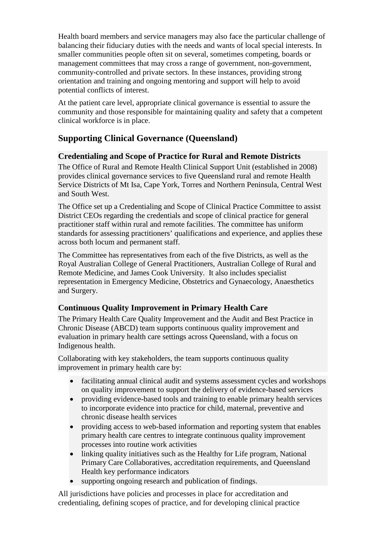Health board members and service managers may also face the particular challenge of balancing their fiduciary duties with the needs and wants of local special interests. In smaller communities people often sit on several, sometimes competing, boards or management committees that may cross a range of government, non-government, community-controlled and private sectors. In these instances, providing strong orientation and training and ongoing mentoring and support will help to avoid potential conflicts of interest.

At the patient care level, appropriate clinical governance is essential to assure the community and those responsible for maintaining quality and safety that a competent clinical workforce is in place.

### <span id="page-41-0"></span>**Supporting Clinical Governance (Queensland)**

#### <span id="page-41-1"></span>**Credentialing and Scope of Practice for Rural and Remote Districts**

The Office of Rural and Remote Health Clinical Support Unit (established in 2008) provides clinical governance services to five Queensland rural and remote Health Service Districts of Mt Isa, Cape York, Torres and Northern Peninsula, Central West and South West.

The Office set up a Credentialing and Scope of Clinical Practice Committee to assist District CEOs regarding the credentials and scope of clinical practice for general practitioner staff within rural and remote facilities. The committee has uniform standards for assessing practitioners' qualifications and experience, and applies these across both locum and permanent staff.

The Committee has representatives from each of the five Districts, as well as the Royal Australian College of General Practitioners, Australian College of Rural and Remote Medicine, and James Cook University. It also includes specialist representation in Emergency Medicine, Obstetrics and Gynaecology, Anaesthetics and Surgery.

#### <span id="page-41-2"></span>**Continuous Quality Improvement in Primary Health Care**

The Primary Health Care Quality Improvement and the Audit and Best Practice in Chronic Disease (ABCD) team supports continuous quality improvement and evaluation in primary health care settings across Queensland, with a focus on Indigenous health.

Collaborating with key stakeholders, the team supports continuous quality improvement in primary health care by:

- facilitating annual clinical audit and systems assessment cycles and workshops on quality improvement to support the delivery of evidence-based services
- providing evidence-based tools and training to enable primary health services to incorporate evidence into practice for child, maternal, preventive and chronic disease health services
- providing access to web-based information and reporting system that enables primary health care centres to integrate continuous quality improvement processes into routine work activities
- linking quality initiatives such as the Healthy for Life program, National Primary Care Collaboratives, accreditation requirements, and Queensland Health key performance indicators
- supporting ongoing research and publication of findings.

All jurisdictions have policies and processes in place for accreditation and credentialing, defining scopes of practice, and for developing clinical practice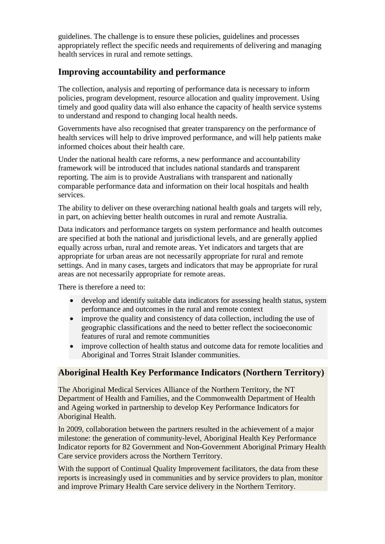guidelines. The challenge is to ensure these policies, guidelines and processes appropriately reflect the specific needs and requirements of delivering and managing health services in rural and remote settings.

### <span id="page-42-0"></span>**Improving accountability and performance**

The collection, analysis and reporting of performance data is necessary to inform policies, program development, resource allocation and quality improvement. Using timely and good quality data will also enhance the capacity of health service systems to understand and respond to changing local health needs.

Governments have also recognised that greater transparency on the performance of health services will help to drive improved performance, and will help patients make informed choices about their health care.

Under the national health care reforms, a new performance and accountability framework will be introduced that includes national standards and transparent reporting. The aim is to provide Australians with transparent and nationally comparable performance data and information on their local hospitals and health services.

The ability to deliver on these overarching national health goals and targets will rely, in part, on achieving better health outcomes in rural and remote Australia.

Data indicators and performance targets on system performance and health outcomes are specified at both the national and jurisdictional levels, and are generally applied equally across urban, rural and remote areas. Yet indicators and targets that are appropriate for urban areas are not necessarily appropriate for rural and remote settings. And in many cases, targets and indicators that may be appropriate for rural areas are not necessarily appropriate for remote areas.

There is therefore a need to:

- develop and identify suitable data indicators for assessing health status, system performance and outcomes in the rural and remote context
- improve the quality and consistency of data collection, including the use of geographic classifications and the need to better reflect the socioeconomic features of rural and remote communities
- improve collection of health status and outcome data for remote localities and Aboriginal and Torres Strait Islander communities.

### <span id="page-42-1"></span>**Aboriginal Health Key Performance Indicators (Northern Territory)**

The Aboriginal Medical Services Alliance of the Northern Territory, the NT Department of Health and Families, and the Commonwealth Department of Health and Ageing worked in partnership to develop Key Performance Indicators for Aboriginal Health.

In 2009, collaboration between the partners resulted in the achievement of a major milestone: the generation of community-level, Aboriginal Health Key Performance Indicator reports for 82 Government and Non-Government Aboriginal Primary Health Care service providers across the Northern Territory.

With the support of Continual Quality Improvement facilitators, the data from these reports is increasingly used in communities and by service providers to plan, monitor and improve Primary Health Care service delivery in the Northern Territory.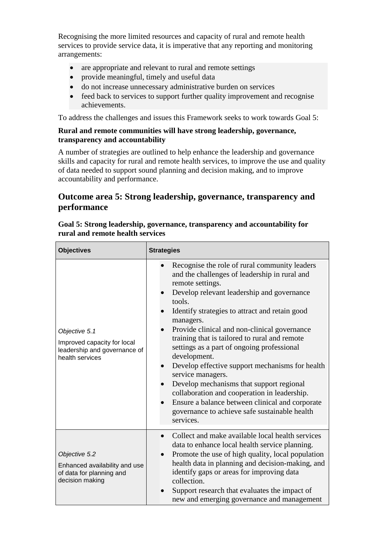Recognising the more limited resources and capacity of rural and remote health services to provide service data, it is imperative that any reporting and monitoring arrangements:

- are appropriate and relevant to rural and remote settings
- provide meaningful, timely and useful data
- do not increase unnecessary administrative burden on services
- feed back to services to support further quality improvement and recognise achievements.

To address the challenges and issues this Framework seeks to work towards Goal 5:

#### **Rural and remote communities will have strong leadership, governance, transparency and accountability**

A number of strategies are outlined to help enhance the leadership and governance skills and capacity for rural and remote health services, to improve the use and quality of data needed to support sound planning and decision making, and to improve accountability and performance.

# <span id="page-43-0"></span>**Outcome area 5: Strong leadership, governance, transparency and performance**

| <b>Objectives</b>                                                                               | <b>Strategies</b>                                                                                                                                                                                                                                                                                                                                                                                                                                                                                                                                                                                                                                                                             |  |
|-------------------------------------------------------------------------------------------------|-----------------------------------------------------------------------------------------------------------------------------------------------------------------------------------------------------------------------------------------------------------------------------------------------------------------------------------------------------------------------------------------------------------------------------------------------------------------------------------------------------------------------------------------------------------------------------------------------------------------------------------------------------------------------------------------------|--|
| Objective 5.1<br>Improved capacity for local<br>leadership and governance of<br>health services | Recognise the role of rural community leaders<br>and the challenges of leadership in rural and<br>remote settings.<br>Develop relevant leadership and governance<br>tools.<br>Identify strategies to attract and retain good<br>managers.<br>Provide clinical and non-clinical governance<br>training that is tailored to rural and remote<br>settings as a part of ongoing professional<br>development.<br>Develop effective support mechanisms for health<br>service managers.<br>Develop mechanisms that support regional<br>collaboration and cooperation in leadership.<br>Ensure a balance between clinical and corporate<br>governance to achieve safe sustainable health<br>services. |  |
| Objective 5.2<br>Enhanced availability and use<br>of data for planning and<br>decision making   | Collect and make available local health services<br>data to enhance local health service planning.<br>Promote the use of high quality, local population<br>health data in planning and decision-making, and<br>identify gaps or areas for improving data<br>collection.<br>Support research that evaluates the impact of<br>new and emerging governance and management                                                                                                                                                                                                                                                                                                                        |  |

#### **Goal 5: Strong leadership, governance, transparency and accountability for rural and remote health services**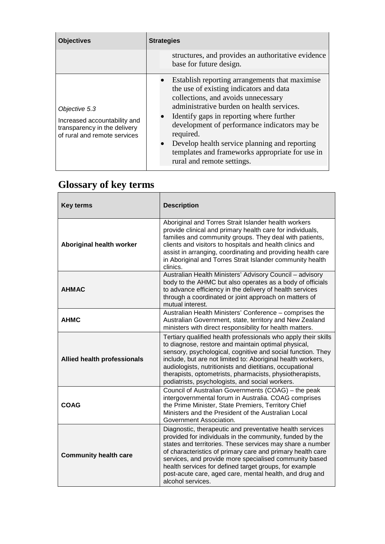| <b>Objectives</b>                                                                                             | <b>Strategies</b>                                                                                                                                                                                                                                                                                                                                                                                                                     |
|---------------------------------------------------------------------------------------------------------------|---------------------------------------------------------------------------------------------------------------------------------------------------------------------------------------------------------------------------------------------------------------------------------------------------------------------------------------------------------------------------------------------------------------------------------------|
|                                                                                                               | structures, and provides an authoritative evidence<br>base for future design.                                                                                                                                                                                                                                                                                                                                                         |
| Objective 5.3<br>Increased accountability and<br>transparency in the delivery<br>of rural and remote services | Establish reporting arrangements that maximise<br>the use of existing indicators and data<br>collections, and avoids unnecessary<br>administrative burden on health services.<br>Identify gaps in reporting where further<br>development of performance indicators may be<br>required.<br>Develop health service planning and reporting<br>$\bullet$<br>templates and frameworks appropriate for use in<br>rural and remote settings. |

| <b>Key terms</b>                   | <b>Description</b>                                                                                                                                                                                                                                                                                                                                                                                                                                  |  |
|------------------------------------|-----------------------------------------------------------------------------------------------------------------------------------------------------------------------------------------------------------------------------------------------------------------------------------------------------------------------------------------------------------------------------------------------------------------------------------------------------|--|
| <b>Aboriginal health worker</b>    | Aboriginal and Torres Strait Islander health workers<br>provide clinical and primary health care for individuals,<br>families and community groups. They deal with patients,<br>clients and visitors to hospitals and health clinics and<br>assist in arranging, coordinating and providing health care<br>in Aboriginal and Torres Strait Islander community health<br>clinics.                                                                    |  |
| <b>AHMAC</b>                       | Australian Health Ministers' Advisory Council - advisory<br>body to the AHMC but also operates as a body of officials<br>to advance efficiency in the delivery of health services<br>through a coordinated or joint approach on matters of<br>mutual interest.                                                                                                                                                                                      |  |
| <b>AHMC</b>                        | Australian Health Ministers' Conference - comprises the<br>Australian Government, state, territory and New Zealand<br>ministers with direct responsibility for health matters.                                                                                                                                                                                                                                                                      |  |
| <b>Allied health professionals</b> | Tertiary qualified health professionals who apply their skills<br>to diagnose, restore and maintain optimal physical,<br>sensory, psychological, cognitive and social function. They<br>include, but are not limited to: Aboriginal health workers,<br>audiologists, nutritionists and dietitians, occupational<br>therapists, optometrists, pharmacists, physiotherapists,<br>podiatrists, psychologists, and social workers.                      |  |
| <b>COAG</b>                        | Council of Australian Governments (COAG) - the peak<br>intergovernmental forum in Australia. COAG comprises<br>the Prime Minister, State Premiers, Territory Chief<br>Ministers and the President of the Australian Local<br>Government Association.                                                                                                                                                                                                |  |
| <b>Community health care</b>       | Diagnostic, therapeutic and preventative health services<br>provided for individuals in the community, funded by the<br>states and territories. These services may share a number<br>of characteristics of primary care and primary health care<br>services, and provide more specialised community based<br>health services for defined target groups, for example<br>post-acute care, aged care, mental health, and drug and<br>alcohol services. |  |

# <span id="page-44-0"></span>**Glossary of key terms**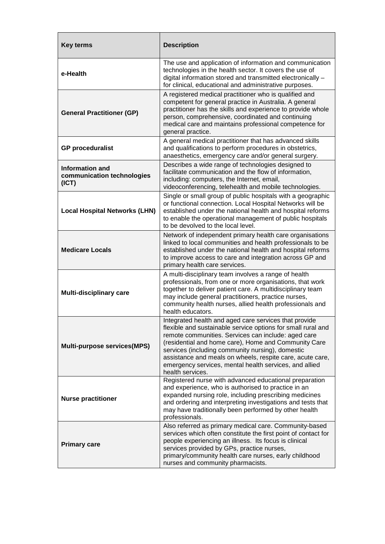| <b>Key terms</b>                                              | <b>Description</b>                                                                                                                                                                                                                                                                                                                                                                                                                  |  |
|---------------------------------------------------------------|-------------------------------------------------------------------------------------------------------------------------------------------------------------------------------------------------------------------------------------------------------------------------------------------------------------------------------------------------------------------------------------------------------------------------------------|--|
| e-Health                                                      | The use and application of information and communication<br>technologies in the health sector. It covers the use of<br>digital information stored and transmitted electronically -<br>for clinical, educational and administrative purposes.                                                                                                                                                                                        |  |
| <b>General Practitioner (GP)</b>                              | A registered medical practitioner who is qualified and<br>competent for general practice in Australia. A general<br>practitioner has the skills and experience to provide whole<br>person, comprehensive, coordinated and continuing<br>medical care and maintains professional competence for<br>general practice.                                                                                                                 |  |
| <b>GP proceduralist</b>                                       | A general medical practitioner that has advanced skills<br>and qualifications to perform procedures in obstetrics,<br>anaesthetics, emergency care and/or general surgery.                                                                                                                                                                                                                                                          |  |
| <b>Information and</b><br>communication technologies<br>(ICT) | Describes a wide range of technologies designed to<br>facilitate communication and the flow of information,<br>including: computers, the Internet, email,<br>videoconferencing, telehealth and mobile technologies.                                                                                                                                                                                                                 |  |
| <b>Local Hospital Networks (LHN)</b>                          | Single or small group of public hospitals with a geographic<br>or functional connection. Local Hospital Networks will be<br>established under the national health and hospital reforms<br>to enable the operational management of public hospitals<br>to be devolved to the local level.                                                                                                                                            |  |
| <b>Medicare Locals</b>                                        | Network of independent primary health care organisations<br>linked to local communities and health professionals to be<br>established under the national health and hospital reforms<br>to improve access to care and integration across GP and<br>primary health care services.                                                                                                                                                    |  |
| <b>Multi-disciplinary care</b>                                | A multi-disciplinary team involves a range of health<br>professionals, from one or more organisations, that work<br>together to deliver patient care. A multidisciplinary team<br>may include general practitioners, practice nurses,<br>community health nurses, allied health professionals and<br>health educators.                                                                                                              |  |
| <b>Multi-purpose services(MPS)</b>                            | Integrated health and aged care services that provide<br>flexible and sustainable service options for small rural and<br>remote communities. Services can include: aged care<br>(residential and home care), Home and Community Care<br>services (including community nursing), domestic<br>assistance and meals on wheels, respite care, acute care,<br>emergency services, mental health services, and allied<br>health services. |  |
| <b>Nurse practitioner</b>                                     | Registered nurse with advanced educational preparation<br>and experience, who is authorised to practice in an<br>expanded nursing role, including prescribing medicines<br>and ordering and interpreting investigations and tests that<br>may have traditionally been performed by other health<br>professionals.                                                                                                                   |  |
| <b>Primary care</b>                                           | Also referred as primary medical care. Community-based<br>services which often constitute the first point of contact for<br>people experiencing an illness. Its focus is clinical<br>services provided by GPs, practice nurses,<br>primary/community health care nurses, early childhood<br>nurses and community pharmacists.                                                                                                       |  |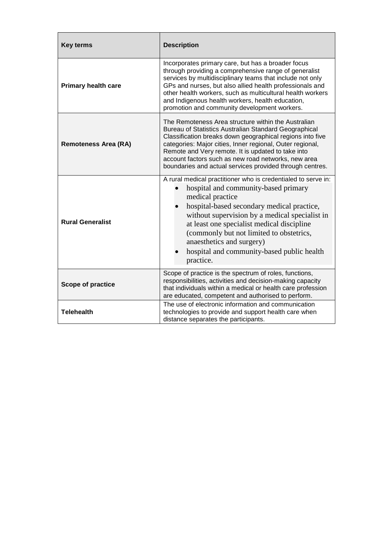| <b>Key terms</b>            | <b>Description</b>                                                                                                                                                                                                                                                                                                                                                                                              |  |
|-----------------------------|-----------------------------------------------------------------------------------------------------------------------------------------------------------------------------------------------------------------------------------------------------------------------------------------------------------------------------------------------------------------------------------------------------------------|--|
| <b>Primary health care</b>  | Incorporates primary care, but has a broader focus<br>through providing a comprehensive range of generalist<br>services by multidisciplinary teams that include not only<br>GPs and nurses, but also allied health professionals and<br>other health workers, such as multicultural health workers<br>and Indigenous health workers, health education,<br>promotion and community development workers.          |  |
| <b>Remoteness Area (RA)</b> | The Remoteness Area structure within the Australian<br>Bureau of Statistics Australian Standard Geographical<br>Classification breaks down geographical regions into five<br>categories: Major cities, Inner regional, Outer regional,<br>Remote and Very remote. It is updated to take into<br>account factors such as new road networks, new area<br>boundaries and actual services provided through centres. |  |
| <b>Rural Generalist</b>     | A rural medical practitioner who is credentialed to serve in:<br>hospital and community-based primary<br>medical practice<br>hospital-based secondary medical practice,<br>without supervision by a medical specialist in<br>at least one specialist medical discipline<br>(commonly but not limited to obstetrics,<br>anaesthetics and surgery)<br>hospital and community-based public health<br>practice.     |  |
| <b>Scope of practice</b>    | Scope of practice is the spectrum of roles, functions,<br>responsibilities, activities and decision-making capacity<br>that individuals within a medical or health care profession<br>are educated, competent and authorised to perform.                                                                                                                                                                        |  |
| <b>Telehealth</b>           | The use of electronic information and communication<br>technologies to provide and support health care when<br>distance separates the participants.                                                                                                                                                                                                                                                             |  |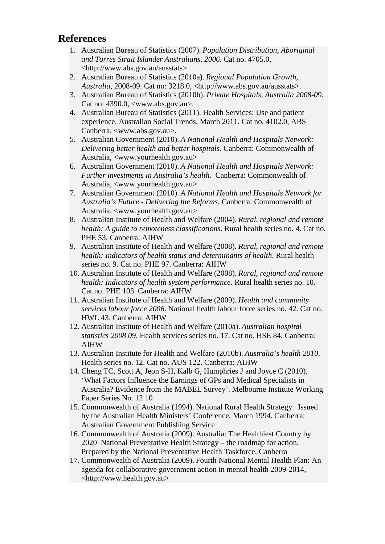### <span id="page-47-0"></span>**References**

- 1. Australian Bureau of Statistics (2007). *Population Distribution, Aboriginal and Torres Strait Islander Australians, 2006*. Cat no. 4705.0, <http://www.abs.gov.au/ausstats>.
- 2. Australian Bureau of Statistics (2010a). *Regional Population Growth, Australia*, 2008-09. Cat no: 3218.0, <http://www.abs.gov.au/ausstats>.
- 3. Australian Bureau of Statistics (2010b). *Private Hospitals, Australia 2008-09*. Cat no: 4390.0, <www.abs.gov.au>.
- 4. Australian Bureau of Statistics (2011). Health Services: Use and patient experience. Australian Social Trends, March 2011. Cat no. 4102.0, ABS Canberra, <www.abs.gov.au>.
- 5. Australian Government (2010). *A National Health and Hospitals Network: Delivering better health and better hospitals*. Canberra: Commonwealth of Australia, <www.yourhealth.gov.au>
- 6. Australian Government (2010). *A National Health and Hospitals Network: Further investments in Australia's health*. Canberra: Commonwealth of Australia, <www.yourhealth.gov.au>
- 7. Australian Government (2010). *A National Health and Hospitals Network for Australia's Future - Delivering the Reforms*. Canberra: Commonwealth of Australia, <www.yourhealth.gov.au>
- 8. Australian Institute of Health and Welfare (2004). *Rural, regional and remote health: A guide to remoteness classifications*. Rural health series no. 4. Cat no. PHE 53. Canberra: AIHW
- 9. Australian Institute of Health and Welfare (2008). *Rural, regional and remote health: Indicators of health status and determinants of health*. Rural health series no. 9. Cat no. PHE 97. Canberra: AIHW
- 10. Australian Institute of Health and Welfare (2008). *Rural, regional and remote health: Indicators of health system performance*. Rural health series no. 10. Cat no. PHE 103. Canberra: AIHW
- 11. Australian Institute of Health and Welfare (2009). *Health and community services labour force 2006*. National health labour force series no. 42. Cat no. HWL 43. Canberra: AIHW
- 12. Australian Institute of Health and Welfare (2010a). *Australian hospital statistics 2008 09*. Health services series no. 17. Cat no. HSE 84. Canberra: AIHW
- 13. Australian Institute for Health and Welfare (2010b). *Australia's health 2010*. Health series no. 12. Cat no. AUS 122. Canberra: AIHW
- 14. Cheng TC, Scott A, Jeon S-H, Kalb G, Humphries J and Joyce C (2010). 'What Factors Influence the Earnings of GPs and Medical Specialists in Australia? Evidence from the MABEL Survey'. Melbourne Institute Working Paper Series No. 12.10
- 15. Commonwealth of Australia (1994). National Rural Health Strategy. Issued by the Australian Health Ministers' Conference, March 1994. Canberra: Australian Government Publishing Service
- 16. Commonwealth of Australia (2009). Australia: The Healthiest Country by 2020 National Preventative Health Strategy – the roadmap for action. Prepared by the National Preventative Health Taskforce, Canberra
- 17. Commonwealth of Australia (2009). Fourth National Mental Health Plan: An agenda for collaborative government action in mental health 2009-2014, <http://www.health.gov.au>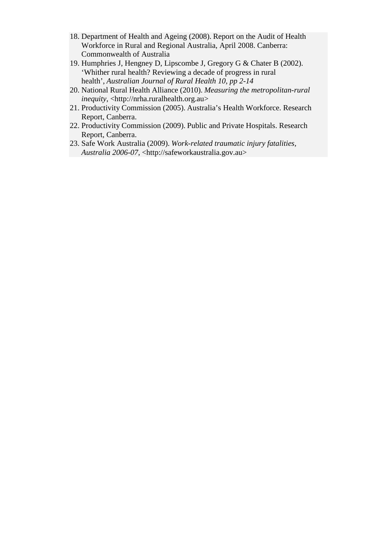- 18. Department of Health and Ageing (2008). Report on the Audit of Health Workforce in Rural and Regional Australia, April 2008. Canberra: Commonwealth of Australia
- 19. Humphries J, Hengney D, Lipscombe J, Gregory G & Chater B (2002). 'Whither rural health? Reviewing a decade of progress in rural health', *Australian Journal of Rural Health 10, pp 2-14*
- 20. National Rural Health Alliance (2010). *Measuring the metropolitan-rural inequity*, <http://nrha.ruralhealth.org.au>
- 21. Productivity Commission (2005). Australia's Health Workforce. Research Report, Canberra.
- 22. Productivity Commission (2009). Public and Private Hospitals. Research Report, Canberra.
- 23. Safe Work Australia (2009). *Work-related traumatic injury fatalities, Australia 2006-07*, <http://safeworkaustralia.gov.au>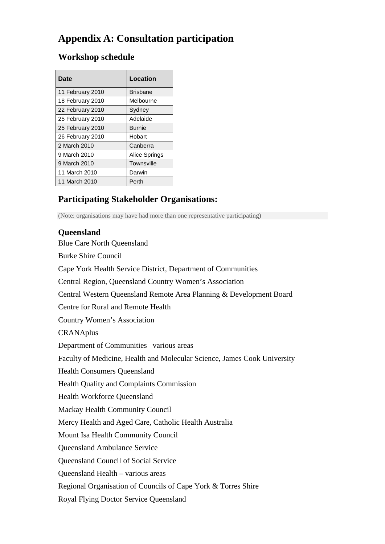# <span id="page-49-0"></span>**Appendix A: Consultation participation**

| Date             | Location      |
|------------------|---------------|
|                  |               |
| 11 February 2010 | Brisbane      |
| 18 February 2010 | Melbourne     |
| 22 February 2010 | Sydney        |
| 25 February 2010 | Adelaide      |
| 25 February 2010 | <b>Burnie</b> |
| 26 February 2010 | Hobart        |
| 2 March 2010     | Canberra      |
| 9 March 2010     | Alice Springs |
| 9 March 2010     | Townsville    |
| 11 March 2010    | Darwin        |
| 11 March 2010    | Perth         |

# <span id="page-49-1"></span>**Workshop schedule**

# <span id="page-49-2"></span>**Participating Stakeholder Organisations:**

<span id="page-49-3"></span>(Note: organisations may have had more than one representative participating)

#### **Queensland**

Blue Care North Queensland Burke Shire Council Cape York Health Service District, Department of Communities Central Region, Queensland Country Women's Association Central Western Queensland Remote Area Planning & Development Board Centre for Rural and Remote Health Country Women's Association **CRANAplus** Department of Communities various areas Faculty of Medicine, Health and Molecular Science, James Cook University Health Consumers Queensland Health Quality and Complaints Commission Health Workforce Queensland Mackay Health Community Council Mercy Health and Aged Care, Catholic Health Australia Mount Isa Health Community Council Queensland Ambulance Service Queensland Council of Social Service Queensland Health – various areas Regional Organisation of Councils of Cape York & Torres Shire Royal Flying Doctor Service Queensland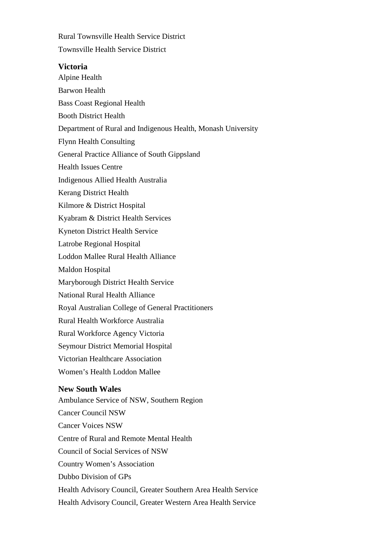Rural Townsville Health Service District Townsville Health Service District

#### <span id="page-50-0"></span>**Victoria**

<span id="page-50-1"></span>Alpine Health Barwon Health Bass Coast Regional Health Booth District Health Department of Rural and Indigenous Health, Monash University Flynn Health Consulting General Practice Alliance of South Gippsland Health Issues Centre Indigenous Allied Health Australia Kerang District Health Kilmore & District Hospital Kyabram & District Health Services Kyneton District Health Service Latrobe Regional Hospital Loddon Mallee Rural Health Alliance Maldon Hospital Maryborough District Health Service National Rural Health Alliance Royal Australian College of General Practitioners Rural Health Workforce Australia Rural Workforce Agency Victoria Seymour District Memorial Hospital Victorian Healthcare Association Women's Health Loddon Mallee **New South Wales** Ambulance Service of NSW, Southern Region Cancer Council NSW Cancer Voices NSW Centre of Rural and Remote Mental Health Council of Social Services of NSW Country Women's Association Dubbo Division of GPs Health Advisory Council, Greater Southern Area Health Service Health Advisory Council, Greater Western Area Health Service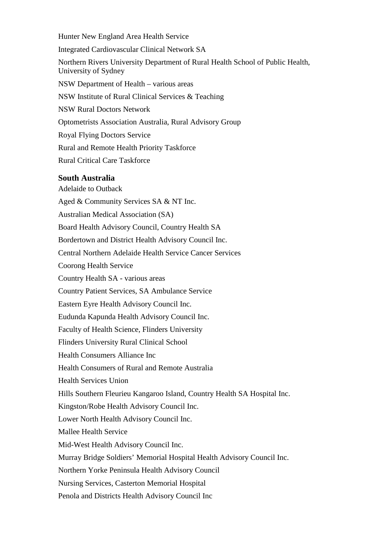Hunter New England Area Health Service Integrated Cardiovascular Clinical Network SA Northern Rivers University Department of Rural Health School of Public Health, University of Sydney NSW Department of Health – various areas NSW Institute of Rural Clinical Services & Teaching NSW Rural Doctors Network Optometrists Association Australia, Rural Advisory Group Royal Flying Doctors Service Rural and Remote Health Priority Taskforce Rural Critical Care Taskforce **South Australia**

Aged & Community Services SA & NT Inc. Australian Medical Association (SA) Board Health Advisory Council, Country Health SA Bordertown and District Health Advisory Council Inc. Central Northern Adelaide Health Service Cancer Services Coorong Health Service Country Health SA - various areas Country Patient Services, SA Ambulance Service Eastern Eyre Health Advisory Council Inc. Eudunda Kapunda Health Advisory Council Inc. Faculty of Health Science, Flinders University Flinders University Rural Clinical School Health Consumers Alliance Inc Health Consumers of Rural and Remote Australia Health Services Union Hills Southern Fleurieu Kangaroo Island, Country Health SA Hospital Inc. Kingston/Robe Health Advisory Council Inc. Lower North Health Advisory Council Inc.

Mallee Health Service

<span id="page-51-0"></span>Adelaide to Outback

Mid-West Health Advisory Council Inc.

Murray Bridge Soldiers' Memorial Hospital Health Advisory Council Inc.

Northern Yorke Peninsula Health Advisory Council

Nursing Services, Casterton Memorial Hospital

Penola and Districts Health Advisory Council Inc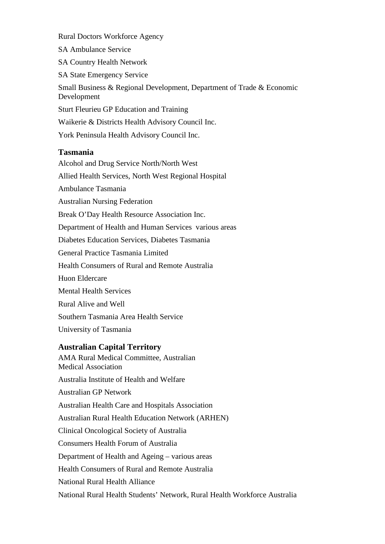Rural Doctors Workforce Agency

SA Ambulance Service

SA Country Health Network

SA State Emergency Service

Small Business & Regional Development, Department of Trade & Economic Development

Sturt Fleurieu GP Education and Training

Waikerie & Districts Health Advisory Council Inc.

York Peninsula Health Advisory Council Inc.

#### <span id="page-52-0"></span>**Tasmania**

Alcohol and Drug Service North/North West Allied Health Services, North West Regional Hospital Ambulance Tasmania Australian Nursing Federation Break O'Day Health Resource Association Inc. Department of Health and Human Services various areas Diabetes Education Services, Diabetes Tasmania General Practice Tasmania Limited Health Consumers of Rural and Remote Australia Huon Eldercare Mental Health Services Rural Alive and Well Southern Tasmania Area Health Service University of Tasmania

#### <span id="page-52-1"></span>**Australian Capital Territory**

AMA Rural Medical Committee, Australian Medical Association Australia Institute of Health and Welfare Australian GP Network Australian Health Care and Hospitals Association Australian Rural Health Education Network (ARHEN) Clinical Oncological Society of Australia Consumers Health Forum of Australia Department of Health and Ageing – various areas Health Consumers of Rural and Remote Australia National Rural Health Alliance National Rural Health Students' Network, Rural Health Workforce Australia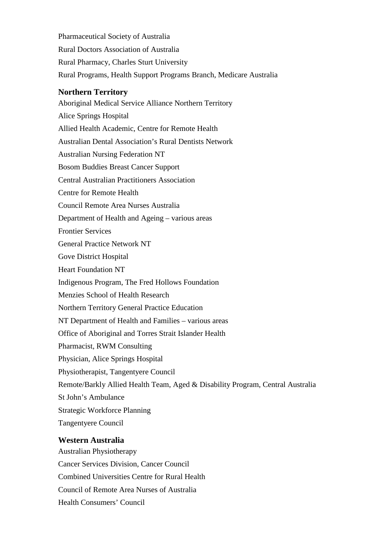Pharmaceutical Society of Australia Rural Doctors Association of Australia Rural Pharmacy, Charles Sturt University Rural Programs, Health Support Programs Branch, Medicare Australia

#### <span id="page-53-0"></span>**Northern Territory**

Aboriginal Medical Service Alliance Northern Territory Alice Springs Hospital Allied Health Academic, Centre for Remote Health Australian Dental Association's Rural Dentists Network Australian Nursing Federation NT Bosom Buddies Breast Cancer Support Central Australian Practitioners Association Centre for Remote Health Council Remote Area Nurses Australia Department of Health and Ageing – various areas Frontier Services General Practice Network NT Gove District Hospital Heart Foundation NT Indigenous Program, The Fred Hollows Foundation Menzies School of Health Research Northern Territory General Practice Education NT Department of Health and Families – various areas Office of Aboriginal and Torres Strait Islander Health Pharmacist, RWM Consulting Physician, Alice Springs Hospital Physiotherapist, Tangentyere Council Remote/Barkly Allied Health Team, Aged & Disability Program, Central Australia St John's Ambulance Strategic Workforce Planning Tangentyere Council **Western Australia**

<span id="page-53-1"></span>Australian Physiotherapy Cancer Services Division, Cancer Council Combined Universities Centre for Rural Health Council of Remote Area Nurses of Australia Health Consumers' Council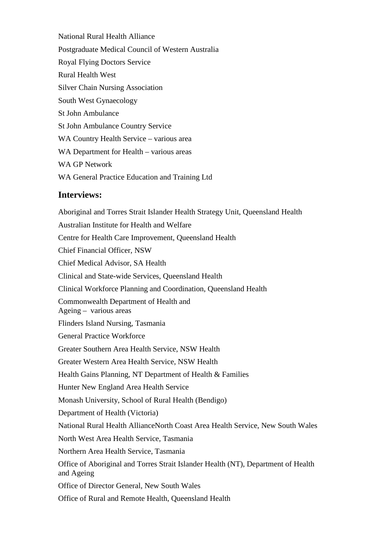National Rural Health Alliance Postgraduate Medical Council of Western Australia Royal Flying Doctors Service Rural Health West Silver Chain Nursing Association South West Gynaecology St John Ambulance St John Ambulance Country Service WA Country Health Service – various area WA Department for Health – various areas WA GP Network WA General Practice Education and Training Ltd

#### <span id="page-54-0"></span>**Interviews:**

Aboriginal and Torres Strait Islander Health Strategy Unit, Queensland Health Australian Institute for Health and Welfare Centre for Health Care Improvement, Queensland Health Chief Financial Officer, NSW Chief Medical Advisor, SA Health Clinical and State-wide Services, Queensland Health Clinical Workforce Planning and Coordination, Queensland Health Commonwealth Department of Health and Ageing – various areas Flinders Island Nursing, Tasmania General Practice Workforce Greater Southern Area Health Service, NSW Health Greater Western Area Health Service, NSW Health Health Gains Planning, NT Department of Health & Families Hunter New England Area Health Service Monash University, School of Rural Health (Bendigo) Department of Health (Victoria) National Rural Health AllianceNorth Coast Area Health Service, New South Wales North West Area Health Service, Tasmania Northern Area Health Service, Tasmania Office of Aboriginal and Torres Strait Islander Health (NT), Department of Health and Ageing Office of Director General, New South Wales

Office of Rural and Remote Health, Queensland Health